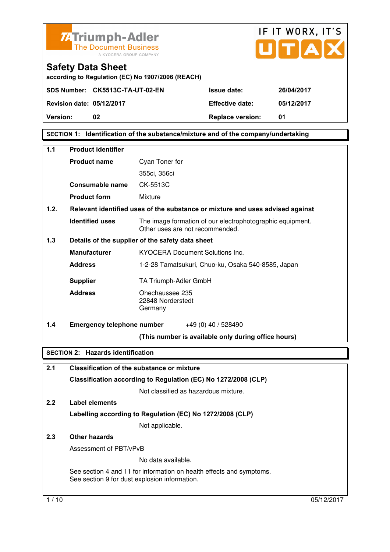



**according to Regulation (EC) No 1907/2006 (REACH)** 

**SDS Number: CK5513C-TA-UT-02-EN Issue date: 26/04/2017** 

**Revision date: 05/12/2017 Effective date: 05/12/2017 Version: 02 Replace version: 01** 

**SECTION 1: Identification of the substance/mixture and of the company/undertaking** 

| 1.1  | <b>Product identifier</b>                                      |                                                                                              |  |  |
|------|----------------------------------------------------------------|----------------------------------------------------------------------------------------------|--|--|
|      | <b>Product name</b>                                            | Cyan Toner for                                                                               |  |  |
|      |                                                                | 355ci, 356ci                                                                                 |  |  |
|      | <b>Consumable name</b>                                         | CK-5513C                                                                                     |  |  |
|      | <b>Product form</b>                                            | Mixture                                                                                      |  |  |
| 1.2. |                                                                | Relevant identified uses of the substance or mixture and uses advised against                |  |  |
|      | <b>Identified uses</b>                                         | The image formation of our electrophotographic equipment.<br>Other uses are not recommended. |  |  |
| 1.3  |                                                                | Details of the supplier of the safety data sheet                                             |  |  |
|      | <b>Manufacturer</b>                                            | <b>KYOCERA Document Solutions Inc.</b>                                                       |  |  |
|      | <b>Address</b>                                                 | 1-2-28 Tamatsukuri, Chuo-ku, Osaka 540-8585, Japan                                           |  |  |
|      | <b>Supplier</b>                                                | TA Triumph-Adler GmbH                                                                        |  |  |
|      | <b>Address</b>                                                 | Ohechaussee 235<br>22848 Norderstedt<br>Germany                                              |  |  |
| 1.4  | <b>Emergency telephone number</b>                              | +49 (0) 40 / 528490                                                                          |  |  |
|      |                                                                | (This number is available only during office hours)                                          |  |  |
|      | <b>SECTION 2: Hazards identification</b>                       |                                                                                              |  |  |
| 2.1  |                                                                | <b>Classification of the substance or mixture</b>                                            |  |  |
|      | Classification according to Regulation (EC) No 1272/2008 (CLP) |                                                                                              |  |  |

Not classified as hazardous mixture.

#### **2.2 Label elements Labelling according to Regulation (EC) No 1272/2008 (CLP)** Not applicable.

#### **2.3 Other hazards**

Assessment of PBT/vPvB

No data available.

 See section 4 and 11 for information on health effects and symptoms. See section 9 for dust explosion information.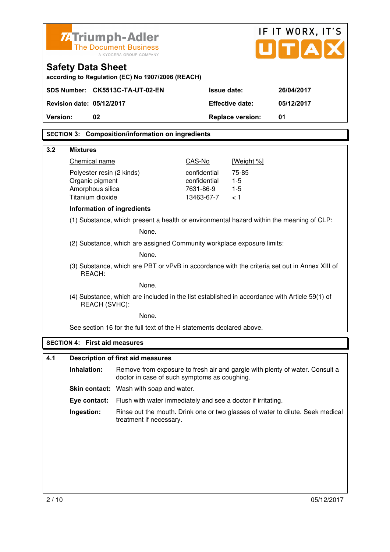| <b>74 Triumph-Adler</b>              |                                                                                                                              |                           |                         | IF IT WORX, IT'S                                                               |
|--------------------------------------|------------------------------------------------------------------------------------------------------------------------------|---------------------------|-------------------------|--------------------------------------------------------------------------------|
|                                      | <b>The Document Business</b><br>A KYOCERA GROUP COMPANY                                                                      |                           |                         | UITIA                                                                          |
| <b>Safety Data Sheet</b>             | according to Regulation (EC) No 1907/2006 (REACH)                                                                            |                           |                         |                                                                                |
| SDS Number: CK5513C-TA-UT-02-EN      |                                                                                                                              | <b>Issue date:</b>        |                         | 26/04/2017                                                                     |
| <b>Revision date: 05/12/2017</b>     |                                                                                                                              |                           | <b>Effective date:</b>  | 05/12/2017                                                                     |
| Version:<br>02                       |                                                                                                                              |                           | <b>Replace version:</b> | 01                                                                             |
|                                      | <b>SECTION 3: Composition/information on ingredients</b>                                                                     |                           |                         |                                                                                |
| 3.2<br><b>Mixtures</b>               |                                                                                                                              |                           |                         |                                                                                |
| Chemical name                        |                                                                                                                              | CAS-No                    | [Weight %]              |                                                                                |
| Polyester resin (2 kinds)            |                                                                                                                              | confidential              | 75-85                   |                                                                                |
| Organic pigment<br>Amorphous silica  |                                                                                                                              | confidential<br>7631-86-9 | $1 - 5$<br>$1 - 5$      |                                                                                |
| Titanium dioxide                     |                                                                                                                              | 13463-67-7                | < 1                     |                                                                                |
| Information of ingredients           |                                                                                                                              |                           |                         |                                                                                |
|                                      | (1) Substance, which present a health or environmental hazard within the meaning of CLP:                                     |                           |                         |                                                                                |
| None.                                |                                                                                                                              |                           |                         |                                                                                |
|                                      | (2) Substance, which are assigned Community workplace exposure limits:                                                       |                           |                         |                                                                                |
| None.                                |                                                                                                                              |                           |                         |                                                                                |
| REACH:                               | (3) Substance, which are PBT or vPvB in accordance with the criteria set out in Annex XIII of                                |                           |                         |                                                                                |
|                                      | None.                                                                                                                        |                           |                         |                                                                                |
| REACH (SVHC):                        | (4) Substance, which are included in the list established in accordance with Article 59(1) of                                |                           |                         |                                                                                |
|                                      | None.                                                                                                                        |                           |                         |                                                                                |
|                                      | See section 16 for the full text of the H statements declared above.                                                         |                           |                         |                                                                                |
| <b>SECTION 4: First aid measures</b> |                                                                                                                              |                           |                         |                                                                                |
| 4.1                                  | <b>Description of first aid measures</b>                                                                                     |                           |                         |                                                                                |
| Inhalation:                          | Remove from exposure to fresh air and gargle with plenty of water. Consult a<br>doctor in case of such symptoms as coughing. |                           |                         |                                                                                |
|                                      | <b>Skin contact:</b> Wash with soap and water.                                                                               |                           |                         |                                                                                |
| Eye contact:                         | Flush with water immediately and see a doctor if irritating.                                                                 |                           |                         |                                                                                |
| Ingestion:                           | treatment if necessary.                                                                                                      |                           |                         | Rinse out the mouth. Drink one or two glasses of water to dilute. Seek medical |
|                                      |                                                                                                                              |                           |                         |                                                                                |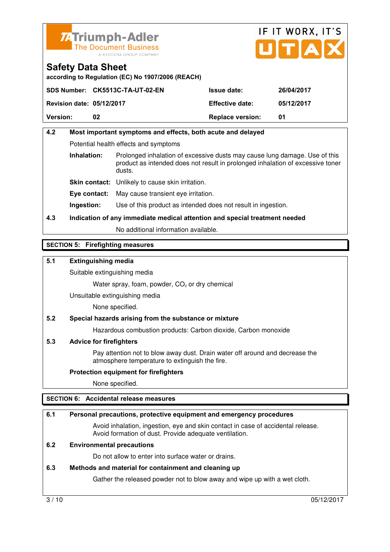



**according to Regulation (EC) No 1907/2006 (REACH)** 

|                                  | SDS Number: CK5513C-TA-UT-02-EN | <b>Issue date:</b>      | 26/04/2017 |
|----------------------------------|---------------------------------|-------------------------|------------|
| <b>Revision date: 05/12/2017</b> |                                 | <b>Effective date:</b>  | 05/12/2017 |
| <b>Version:</b>                  | 02                              | <b>Replace version:</b> | -01        |

#### **4.2 Most important symptoms and effects, both acute and delayed**  Potential health effects and symptoms **Inhalation:** Prolonged inhalation of excessive dusts may cause lung damage. Use of this product as intended does not result in prolonged inhalation of excessive toner dusts. **Skin contact:** Unlikely to cause skin irritation. **Eye contact:** May cause transient eye irritation.

**Ingestion:** Use of this product as intended does not result in ingestion.

#### **4.3 Indication of any immediate medical attention and special treatment needed**

No additional information available.

#### **SECTION 5: Firefighting measures**

#### **5.1 Extinguishing media**

Suitable extinguishing media

Water spray, foam, powder,  $CO<sub>2</sub>$  or dry chemical

Unsuitable extinguishing media

None specified.

#### **5.2 Special hazards arising from the substance or mixture**

Hazardous combustion products: Carbon dioxide, Carbon monoxide

#### **5.3 Advice for firefighters**

 Pay attention not to blow away dust. Drain water off around and decrease the atmosphere temperature to extinguish the fire.

#### **Protection equipment for firefighters**

None specified.

#### **SECTION 6: Accidental release measures**

#### **6.1 Personal precautions, protective equipment and emergency procedures**

 Avoid inhalation, ingestion, eye and skin contact in case of accidental release. Avoid formation of dust. Provide adequate ventilation.

#### **6.2 Environmental precautions**

Do not allow to enter into surface water or drains.

#### **6.3 Methods and material for containment and cleaning up**

Gather the released powder not to blow away and wipe up with a wet cloth.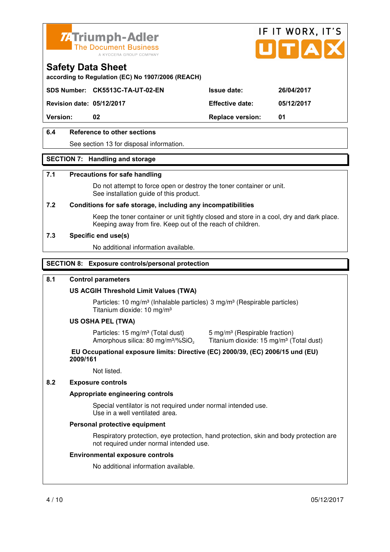



**according to Regulation (EC) No 1907/2006 (REACH)** 

**SDS Number: CK5513C-TA-UT-02-EN Issue date: 26/04/2017** 

**Revision date: 05/12/2017 Effective date: 05/12/2017** 

**Version: 02 Replace version: 01** 

#### **6.4 Reference to other sections**

See section 13 for disposal information.

#### **SECTION 7: Handling and storage**

#### **7.1 Precautions for safe handling**

 Do not attempt to force open or destroy the toner container or unit. See installation guide of this product.

#### **7.2 Conditions for safe storage, including any incompatibilities**

Keep the toner container or unit tightly closed and store in a cool, dry and dark place. Keeping away from fire. Keep out of the reach of children.

#### **7.3 Specific end use(s)**

No additional information available.

#### **SECTION 8: Exposure controls/personal protection**

#### **8.1 Control parameters**

#### **US ACGIH Threshold Limit Values (TWA)**

Particles: 10 mg/m<sup>3</sup> (Inhalable particles) 3 mg/m<sup>3</sup> (Respirable particles) Titanium dioxide: 10 mg/m³

#### **US OSHA PEL (TWA)**

Particles: 15 mg/m<sup>3</sup> (Total dust) 5 mg/m<sup>3</sup> (Respirable fraction) Amorphous silica: 80 mg/m<sup>3</sup>/%SiO<sub>2</sub>

Titanium dioxide: 15 mg/m<sup>3</sup> (Total dust)

#### **EU Occupational exposure limits: Directive (EC) 2000/39, (EC) 2006/15 und (EU) 2009/161**

Not listed.

#### **8.2 Exposure controls**

#### **Appropriate engineering controls**

 Special ventilator is not required under normal intended use. Use in a well ventilated area.

#### **Personal protective equipment**

 Respiratory protection, eye protection, hand protection, skin and body protection are not required under normal intended use.

#### **Environmental exposure controls**

No additional information available.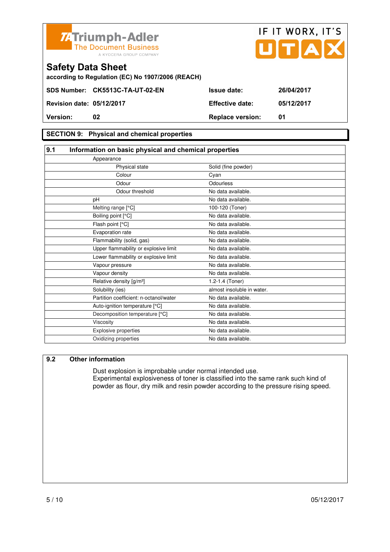

|                                  | <b>71 THUILIPH-AUGH</b><br><b>The Document Business</b><br>A KYOCERA GROUP COMPANY |                         | UTAD       |
|----------------------------------|------------------------------------------------------------------------------------|-------------------------|------------|
| <b>Safety Data Sheet</b>         | according to Regulation (EC) No 1907/2006 (REACH)                                  |                         |            |
|                                  | SDS Number: CK5513C-TA-UT-02-EN                                                    | <b>Issue date:</b>      | 26/04/2017 |
| <b>Revision date: 05/12/2017</b> |                                                                                    | <b>Effective date:</b>  | 05/12/2017 |
| Version:                         | 02                                                                                 | <b>Replace version:</b> | 01         |
|                                  |                                                                                    |                         |            |

IF IT WORX, IT'S

#### **SECTION 9: Physical and chemical properties**

| Appearance                             |                            |                                                       |
|----------------------------------------|----------------------------|-------------------------------------------------------|
| Physical state                         | Solid (fine powder)        |                                                       |
| Colour                                 | Cyan                       |                                                       |
| Odour                                  | Odourless                  |                                                       |
| Odour threshold                        | No data available.         |                                                       |
| рH                                     | No data available.         |                                                       |
| Melting range [°C]                     | 100-120 (Toner)            |                                                       |
| Boiling point [°C]                     | No data available.         |                                                       |
| Flash point [°C]                       | No data available.         |                                                       |
| Evaporation rate                       | No data available.         |                                                       |
| Flammability (solid, gas)              | No data available.         |                                                       |
| Upper flammability or explosive limit  | No data available.         |                                                       |
| Lower flammability or explosive limit  | No data available.         |                                                       |
| Vapour pressure                        | No data available.         |                                                       |
| Vapour density                         | No data available.         |                                                       |
| Relative density [g/m <sup>3</sup> ]   | 1.2-1.4 (Toner)            |                                                       |
| Solubility (ies)                       | almost insoluble in water. |                                                       |
| Partition coefficient: n-octanol/water | No data available.         |                                                       |
| Auto-ignition temperature [°C]         | No data available.         |                                                       |
| Decomposition temperature [°C]         | No data available.         |                                                       |
| Viscosity                              | No data available.         |                                                       |
| Explosive properties                   | No data available.         |                                                       |
| Oxidizing properties                   | No data available.         |                                                       |
|                                        |                            | Information on basic physical and chemical properties |

#### **9.2 Other information**

 Dust explosion is improbable under normal intended use. Experimental explosiveness of toner is classified into the same rank such kind of powder as flour, dry milk and resin powder according to the pressure rising speed.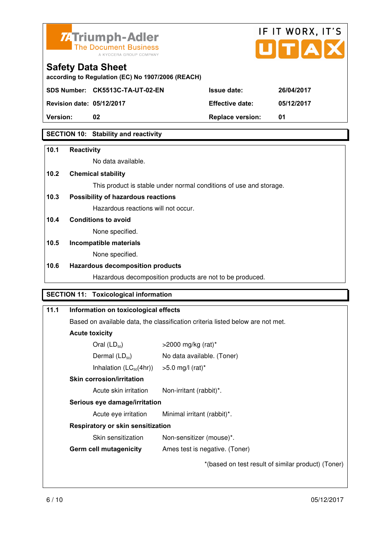



**according to Regulation (EC) No 1907/2006 (REACH)** 

**SDS Number: CK5513C-TA-UT-02-EN Issue date: 26/04/2017** 

**Revision date: 05/12/2017 Effective date: 05/12/2017** 

**Version: 02 Replace version: 01** 

#### **SECTION 10: Stability and reactivity**

#### **10.1 Reactivity**

No data available.

#### **10.2 Chemical stability**

This product is stable under normal conditions of use and storage.

#### **10.3 Possibility of hazardous reactions**

Hazardous reactions will not occur.

#### **10.4 Conditions to avoid**

None specified.

#### **10.5 Incompatible materials**

None specified.

#### **10.6 Hazardous decomposition products**

Hazardous decomposition products are not to be produced.

#### **SECTION 11: Toxicological information**

| 11.1 | Information on toxicological effects                                                 |                                                    |  |
|------|--------------------------------------------------------------------------------------|----------------------------------------------------|--|
|      | Based on available data, the classification criteria listed below are not met.       |                                                    |  |
|      | <b>Acute toxicity</b>                                                                |                                                    |  |
|      | Oral $(LD_{50})$                                                                     | $>$ 2000 mg/kg (rat)*                              |  |
|      | Dermal $(LD_{50})$                                                                   | No data available. (Toner)                         |  |
|      | Inhalation $(LC_{50}(4hr))$                                                          | $>5.0$ mg/l (rat) <sup>*</sup>                     |  |
|      | <b>Skin corrosion/irritation</b><br>Acute skin irritation<br>Non-irritant (rabbit)*. |                                                    |  |
|      |                                                                                      |                                                    |  |
|      | Serious eye damage/irritation                                                        |                                                    |  |
|      | Acute eye irritation                                                                 | Minimal irritant (rabbit)*.                        |  |
|      | Respiratory or skin sensitization                                                    |                                                    |  |
|      | Skin sensitization                                                                   | Non-sensitizer (mouse)*.                           |  |
|      | <b>Germ cell mutagenicity</b>                                                        | Ames test is negative. (Toner)                     |  |
|      |                                                                                      | *(based on test result of similar product) (Toner) |  |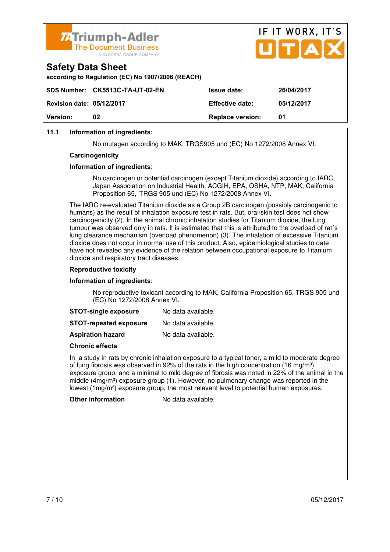

| <b>74Triumph-Adler</b><br>The Document Business<br>A KYOCERA GROUP COMPANY    | IF II WURX, II S<br>UTAX |                   |
|-------------------------------------------------------------------------------|--------------------------|-------------------|
| <b>Safety Data Sheet</b><br>according to Regulation (EC) No 1907/2006 (REACH) |                          |                   |
| CDC Number: CKEE42C TA UT 02 EN                                               | l                        | <b>OCINAIONAT</b> |

 $\mathbf{r} = \mathbf{r} + \mathbf{r}$ 

 $\rightarrow$ 

|                                  | SDS Number: CK5513C-TA-UT-02-EN | <b>Issue date:</b>      | 26/04/2017 |
|----------------------------------|---------------------------------|-------------------------|------------|
| <b>Revision date: 05/12/2017</b> |                                 | <b>Effective date:</b>  | 05/12/2017 |
| <b>Version:</b>                  | 02                              | <b>Replace version:</b> | 01         |

#### **11.1 Information of ingredients:**

No mutagen according to MAK, TRGS905 und (EC) No 1272/2008 Annex VI.

#### **Carcinogenicity**

#### **Information of ingredients:**

 No carcinogen or potential carcinogen (except Titanium dioxide) according to IARC, Japan Association on Industrial Health, ACGIH, EPA, OSHA, NTP, MAK, California Proposition 65, TRGS 905 und (EC) No 1272/2008 Annex VI.

 The IARC re-evaluated Titanium dioxide as a Group 2B carcinogen (possibly carcinogenic to humans) as the result of inhalation exposure test in rats. But, oral/skin test does not show carcinogenicity (2). In the animal chronic inhalation studies for Titanium dioxide, the lung tumour was observed only in rats. It is estimated that this is attributed to the overload of rat´s lung clearance mechanism (overload phenomenon) (3). The inhalation of excessive Titanium dioxide does not occur in normal use of this product. Also, epidemiological studies to date have not revealed any evidence of the relation between occupational exposure to Titanium dioxide and respiratory tract diseases.

#### **Reproductive toxicity**

#### **Information of ingredients:**

 No reproductive toxicant according to MAK, California Proposition 65, TRGS 905 und (EC) No 1272/2008 Annex VI.

| <b>STOT-single exposure</b> | No data available. |
|-----------------------------|--------------------|
|-----------------------------|--------------------|

**STOT-repeated exposure** No data available.

**Aspiration hazard** No data available.

#### **Chronic effects**

 In a study in rats by chronic inhalation exposure to a typical toner, a mild to moderate degree of lung fibrosis was observed in 92% of the rats in the high concentration (16 mg/m<sup>3</sup>) exposure group, and a minimal to mild degree of fibrosis was noted in 22% of the animal in the middle  $(4mg/m<sup>3</sup>)$  exposure group (1). However, no pulmonary change was reported in the lowest  $(1 \text{mq/m}^3)$  exposure group, the most relevant level to potential human exposures.

**Other information** No data available.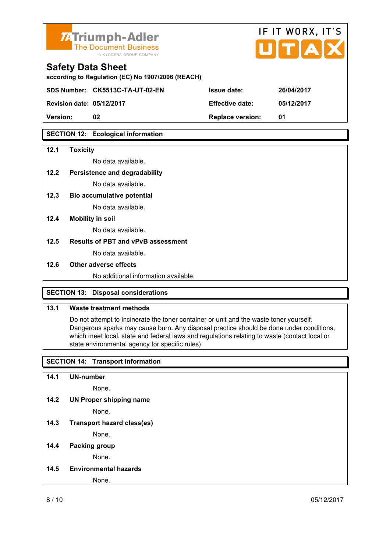

**according to Regulation (EC) No 1907/2006 (REACH)** 

**SDS Number: CK5513C-TA-UT-02-EN Issue date: 26/04/2017** 

**Revision date: 05/12/2017 Effective date: 05/12/2017** 

**Version: 02 Replace version: 01** 

#### **SECTION 12: Ecological information**

#### **12.1 Toxicity**

No data available.

#### **12.2 Persistence and degradability**

No data available.

**12.3 Bio accumulative potential** 

No data available.

#### **12.4 Mobility in soil**

No data available.

#### **12.5 Results of PBT and vPvB assessment**

No data available.

#### **12.6 Other adverse effects**

No additional information available.

#### **SECTION 13: Disposal considerations**

#### **13.1 Waste treatment methods**

 Do not attempt to incinerate the toner container or unit and the waste toner yourself. Dangerous sparks may cause burn. Any disposal practice should be done under conditions, which meet local, state and federal laws and regulations relating to waste (contact local or state environmental agency for specific rules).

#### **SECTION 14: Transport information**

#### **14.1 UN-number**

None.

**14.2 UN Proper shipping name** 

None.

**14.3 Transport hazard class(es)** 

None.

#### **14.4 Packing group**

None.

**14.5 Environmental hazards** 

None.

IF IT WORX, IT'S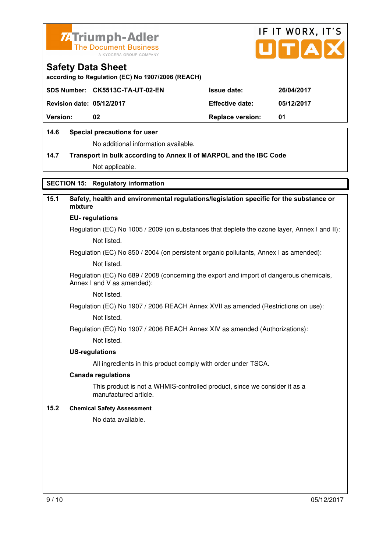



**according to Regulation (EC) No 1907/2006 (REACH)** 

|                                  | SDS Number: CK5513C-TA-UT-02-EN | <b>Issue date:</b>      | 26/04/2017 |
|----------------------------------|---------------------------------|-------------------------|------------|
| <b>Revision date: 05/12/2017</b> |                                 | <b>Effective date:</b>  | 05/12/2017 |
| <b>Version:</b>                  | 02                              | <b>Replace version:</b> | 01         |
|                                  |                                 |                         |            |

#### **14.6 Special precautions for user**

No additional information available.

#### **14.7 Transport in bulk according to Annex II of MARPOL and the IBC Code**

Not applicable.

#### **SECTION 15: Regulatory information**

#### **15.1 Safety, health and environmental regulations/legislation specific for the substance or mixture**

#### **EU- regulations**

Regulation (EC) No 1005 / 2009 (on substances that deplete the ozone layer, Annex I and II): Not listed.

Regulation (EC) No 850 / 2004 (on persistent organic pollutants, Annex I as amended):

Not listed.

 Regulation (EC) No 689 / 2008 (concerning the export and import of dangerous chemicals, Annex I and V as amended):

Not listed.

Regulation (EC) No 1907 / 2006 REACH Annex XVII as amended (Restrictions on use):

Not listed.

Regulation (EC) No 1907 / 2006 REACH Annex XIV as amended (Authorizations):

Not listed.

#### **US-regulations**

All ingredients in this product comply with order under TSCA.

#### **Canada regulations**

 This product is not a WHMIS-controlled product, since we consider it as a manufactured article.

#### **15.2 Chemical Safety Assessment**

No data available.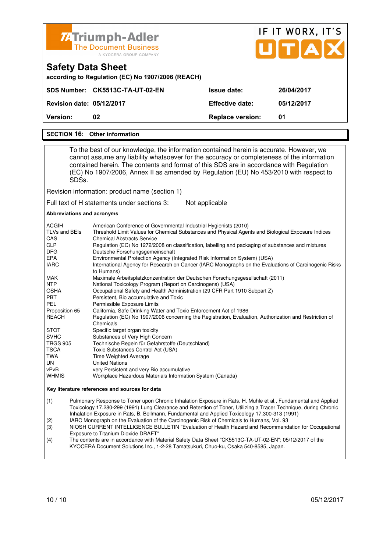

## IF IT WORX, IT'S ПТА

| <b>Version:</b>                                   | 02                              | <b>Replace version:</b> | 01         |
|---------------------------------------------------|---------------------------------|-------------------------|------------|
| <b>Revision date: 05/12/2017</b>                  |                                 | <b>Effective date:</b>  | 05/12/2017 |
|                                                   | SDS Number: CK5513C-TA-UT-02-EN | <b>Issue date:</b>      | 26/04/2017 |
| according to Regulation (EC) No 1907/2006 (REACH) |                                 |                         |            |

#### **SECTION 16: Other information**

**Safety Data Sheet** 

 To the best of our knowledge, the information contained herein is accurate. However, we cannot assume any liability whatsoever for the accuracy or completeness of the information contained herein. The contents and format of this SDS are in accordance with Regulation (EC) No 1907/2006, Annex II as amended by Regulation (EU) No 453/2010 with respect to SDSs.

Revision information: product name (section 1)

Full text of H statements under sections 3: Not applicable

#### **Abbreviations and acronyms**

| <b>ACGIH</b>    | American Conference of Governmental Industrial Hygienists (2010)                                                    |
|-----------------|---------------------------------------------------------------------------------------------------------------------|
| TLVs and BEIs   | Threshold Limit Values for Chemical Substances and Physical Agents and Biological Exposure Indices                  |
| CAS             | <b>Chemical Abstracts Service</b>                                                                                   |
| <b>CLP</b>      | Regulation (EC) No 1272/2008 on classification, labelling and packaging of substances and mixtures                  |
| <b>DFG</b>      | Deutsche Forschungsgemeinschaft                                                                                     |
| <b>EPA</b>      | Environmental Protection Agency (Integrated Risk Information System) (USA)                                          |
| <b>IARC</b>     | International Agency for Research on Cancer (IARC Monographs on the Evaluations of Carcinogenic Risks               |
|                 | to Humans)                                                                                                          |
| MAK             | Maximale Arbeitsplatzkonzentration der Deutschen Forschungsgesellschaft (2011)                                      |
| <b>NTP</b>      | National Toxicology Program (Report on Carcinogens) (USA)                                                           |
| <b>OSHA</b>     | Occupational Safety and Health Administration (29 CFR Part 1910 Subpart Z)                                          |
| <b>PBT</b>      | Persistent. Bio accumulative and Toxic                                                                              |
| PEL             | Permissible Exposure Limits                                                                                         |
| Proposition 65  | California, Safe Drinking Water and Toxic Enforcement Act of 1986                                                   |
| <b>REACH</b>    | Regulation (EC) No 1907/2006 concerning the Registration, Evaluation, Authorization and Restriction of<br>Chemicals |
| <b>STOT</b>     | Specific target organ toxicity                                                                                      |
| <b>SVHC</b>     | Substances of Very High Concern                                                                                     |
| <b>TRGS 905</b> | Technische Regeln für Gefahrstoffe (Deutschland)                                                                    |
| TSCA            | Toxic Substances Control Act (USA)                                                                                  |
| TWA             | Time Weighted Average                                                                                               |
| UN.             | <b>United Nations</b>                                                                                               |
| vPvB            | very Persistent and very Bio accumulative                                                                           |
| <b>WHMIS</b>    | Workplace Hazardous Materials Information System (Canada)                                                           |

#### **Key literature references and sources for data**

(1) Pulmonary Response to Toner upon Chronic Inhalation Exposure in Rats, H. Muhle et al., Fundamental and Applied Toxicology 17.280-299 (1991) Lung Clearance and Retention of Toner, Utilizing a Tracer Technique, during Chronic Inhalation Exposure in Rats, B. Bellmann, Fundamental and Applied Toxicology 17.300-313 (1991)

(2) IARC Monograph on the Evaluation of the Carcinogenic Risk of Chemicals to Humans, Vol. 93

(3) NIOSH CURRENT INTELLIGENCE BULLETIN "Evaluation of Health Hazard and Recommendation for Occupational Exposure to Titanium Dioxide DRAFT<br>(4) The contents are in accordance with M

The contents are in accordance with Material Safety Data Sheet "CK5513C-TA-UT-02-EN"; 05/12/2017 of the KYOCERA Document Solutions Inc., 1-2-28 Tamatsukuri, Chuo-ku, Osaka 540-8585, Japan.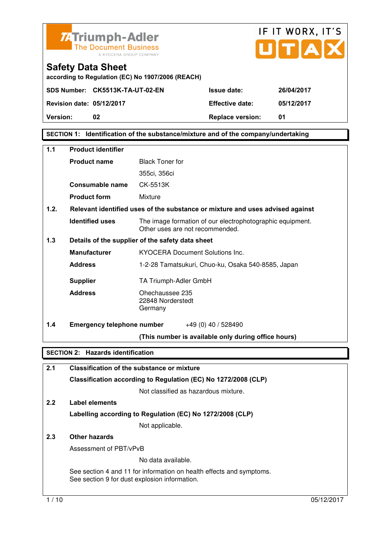



**according to Regulation (EC) No 1907/2006 (REACH)** 

**SDS Number: CK5513K-TA-UT-02-EN Issue date: 26/04/2017** 

**Revision date: 05/12/2017 Effective date: 05/12/2017 Version: 02 Replace version: 01** 

**SECTION 1: Identification of the substance/mixture and of the company/undertaking** 

| 1.1  | <b>Product identifier</b>                |                                                                                              |  |
|------|------------------------------------------|----------------------------------------------------------------------------------------------|--|
|      | <b>Product name</b>                      | <b>Black Toner for</b>                                                                       |  |
|      |                                          | 355ci, 356ci                                                                                 |  |
|      | Consumable name                          | CK-5513K                                                                                     |  |
|      | <b>Product form</b>                      | Mixture                                                                                      |  |
| 1.2. |                                          | Relevant identified uses of the substance or mixture and uses advised against                |  |
|      | <b>Identified uses</b>                   | The image formation of our electrophotographic equipment.<br>Other uses are not recommended. |  |
| 1.3  |                                          | Details of the supplier of the safety data sheet                                             |  |
|      | <b>Manufacturer</b>                      | <b>KYOCERA Document Solutions Inc.</b>                                                       |  |
|      | <b>Address</b>                           | 1-2-28 Tamatsukuri, Chuo-ku, Osaka 540-8585, Japan                                           |  |
|      | <b>Supplier</b>                          | TA Triumph-Adler GmbH                                                                        |  |
|      | <b>Address</b>                           | Ohechaussee 235<br>22848 Norderstedt<br>Germany                                              |  |
| 1.4  | <b>Emergency telephone number</b>        | $+49(0)$ 40 / 528490                                                                         |  |
|      |                                          | (This number is available only during office hours)                                          |  |
|      | <b>SECTION 2: Hazards identification</b> |                                                                                              |  |
| 2.1  |                                          | <b>Classification of the substance or mixture</b>                                            |  |
|      |                                          | Classification according to Regulation (EC) No 1272/2008 (CLP)                               |  |
|      |                                          | Not classified as hazardous mixture.                                                         |  |

#### **2.2 Label elements Labelling according to Regulation (EC) No 1272/2008 (CLP)** Not applicable.

#### **2.3 Other hazards**

Assessment of PBT/vPvB

No data available.

 See section 4 and 11 for information on health effects and symptoms. See section 9 for dust explosion information.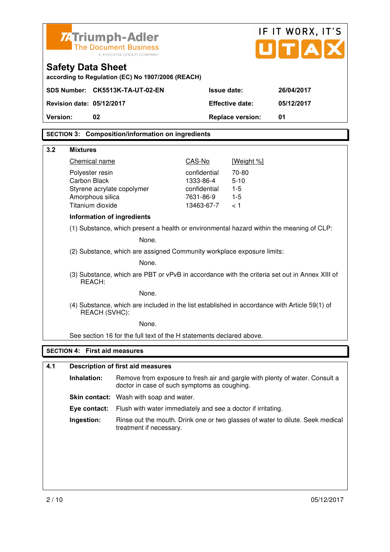|          |                                      | <b>ZATriumph-Adler</b><br><b>The Document Business</b>                                        |                           |                         | IF IT WORX, IT'S<br>UITIA                                                                     |
|----------|--------------------------------------|-----------------------------------------------------------------------------------------------|---------------------------|-------------------------|-----------------------------------------------------------------------------------------------|
|          |                                      | A KYOCERA GROUP COMPANY                                                                       |                           |                         |                                                                                               |
|          | <b>Safety Data Sheet</b>             | according to Regulation (EC) No 1907/2006 (REACH)                                             |                           |                         |                                                                                               |
|          |                                      | SDS Number: CK5513K-TA-UT-02-EN                                                               | <b>Issue date:</b>        |                         | 26/04/2017                                                                                    |
|          | Revision date: 05/12/2017            |                                                                                               |                           | <b>Effective date:</b>  | 05/12/2017                                                                                    |
| Version: | 02                                   |                                                                                               |                           | <b>Replace version:</b> | 01                                                                                            |
|          |                                      | <b>SECTION 3: Composition/information on ingredients</b>                                      |                           |                         |                                                                                               |
|          |                                      |                                                                                               |                           |                         |                                                                                               |
| 3.2      | <b>Mixtures</b>                      |                                                                                               |                           |                         |                                                                                               |
|          | Chemical name                        |                                                                                               | CAS-No                    | [Weight %]              |                                                                                               |
|          | Polyester resin<br>Carbon Black      |                                                                                               | confidential<br>1333-86-4 | 70-80<br>$5 - 10$       |                                                                                               |
|          | Styrene acrylate copolymer           |                                                                                               | confidential              | $1 - 5$                 |                                                                                               |
|          | Amorphous silica                     |                                                                                               | 7631-86-9                 | $1 - 5$                 |                                                                                               |
|          | Titanium dioxide                     |                                                                                               | 13463-67-7                | < 1                     |                                                                                               |
|          | Information of ingredients           |                                                                                               |                           |                         |                                                                                               |
|          |                                      | (1) Substance, which present a health or environmental hazard within the meaning of CLP:      |                           |                         |                                                                                               |
|          |                                      | None.                                                                                         |                           |                         |                                                                                               |
|          |                                      | (2) Substance, which are assigned Community workplace exposure limits:                        |                           |                         |                                                                                               |
|          |                                      | None.                                                                                         |                           |                         |                                                                                               |
|          | REACH:                               |                                                                                               |                           |                         | (3) Substance, which are PBT or vPvB in accordance with the criteria set out in Annex XIII of |
|          |                                      | None.                                                                                         |                           |                         |                                                                                               |
|          | REACH (SVHC):                        | (4) Substance, which are included in the list established in accordance with Article 59(1) of |                           |                         |                                                                                               |
|          |                                      | None.                                                                                         |                           |                         |                                                                                               |
|          |                                      | See section 16 for the full text of the H statements declared above.                          |                           |                         |                                                                                               |
|          | <b>SECTION 4: First aid measures</b> |                                                                                               |                           |                         |                                                                                               |
| 4.1      |                                      |                                                                                               |                           |                         |                                                                                               |
|          |                                      | <b>Description of first aid measures</b>                                                      |                           |                         |                                                                                               |
|          | Inhalation:                          | doctor in case of such symptoms as coughing.                                                  |                           |                         | Remove from exposure to fresh air and gargle with plenty of water. Consult a                  |
|          |                                      | <b>Skin contact:</b> Wash with soap and water.                                                |                           |                         |                                                                                               |
|          | Eye contact:                         | Flush with water immediately and see a doctor if irritating.                                  |                           |                         |                                                                                               |
|          | Ingestion:                           | treatment if necessary.                                                                       |                           |                         | Rinse out the mouth. Drink one or two glasses of water to dilute. Seek medical                |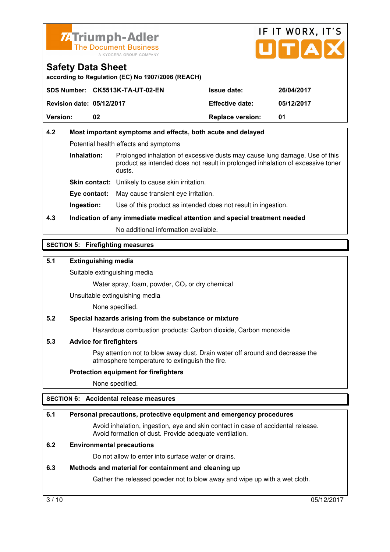



**according to Regulation (EC) No 1907/2006 (REACH)** 

|                                  | SDS Number: CK5513K-TA-UT-02-EN | <b>Issue date:</b>      | 26/04/2017 |
|----------------------------------|---------------------------------|-------------------------|------------|
| <b>Revision date: 05/12/2017</b> |                                 | <b>Effective date:</b>  | 05/12/2017 |
| <b>Version:</b>                  | 02                              | <b>Replace version:</b> | -01        |

#### **4.2 Most important symptoms and effects, both acute and delayed**  Potential health effects and symptoms **Inhalation:** Prolonged inhalation of excessive dusts may cause lung damage. Use of this product as intended does not result in prolonged inhalation of excessive toner dusts. **Skin contact:** Unlikely to cause skin irritation.

**Eye contact:** May cause transient eye irritation.

**Ingestion:** Use of this product as intended does not result in ingestion.

#### **4.3 Indication of any immediate medical attention and special treatment needed**

No additional information available.

#### **SECTION 5: Firefighting measures**

#### **5.1 Extinguishing media**

Suitable extinguishing media

Water spray, foam, powder,  $CO<sub>2</sub>$  or dry chemical

Unsuitable extinguishing media

None specified.

#### **5.2 Special hazards arising from the substance or mixture**

Hazardous combustion products: Carbon dioxide, Carbon monoxide

#### **5.3 Advice for firefighters**

 Pay attention not to blow away dust. Drain water off around and decrease the atmosphere temperature to extinguish the fire.

#### **Protection equipment for firefighters**

None specified.

#### **SECTION 6: Accidental release measures**

#### **6.1 Personal precautions, protective equipment and emergency procedures**

 Avoid inhalation, ingestion, eye and skin contact in case of accidental release. Avoid formation of dust. Provide adequate ventilation.

#### **6.2 Environmental precautions**

Do not allow to enter into surface water or drains.

#### **6.3 Methods and material for containment and cleaning up**

Gather the released powder not to blow away and wipe up with a wet cloth.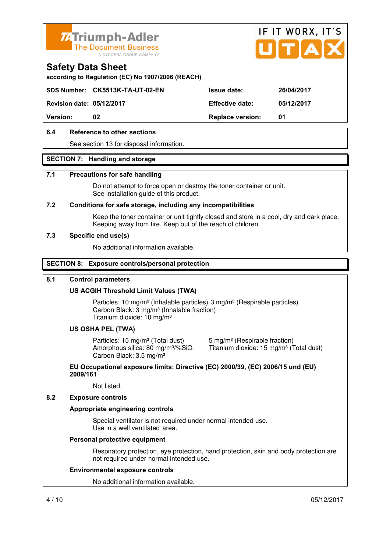



**according to Regulation (EC) No 1907/2006 (REACH)** 

**SDS Number: CK5513K-TA-UT-02-EN Issue date: 26/04/2017** 

**Revision date: 05/12/2017 Effective date: 05/12/2017** 

**Version: 02 Replace version: 01** 

#### **6.4 Reference to other sections**

See section 13 for disposal information.

#### **SECTION 7: Handling and storage**

#### **7.1 Precautions for safe handling**

 Do not attempt to force open or destroy the toner container or unit. See installation guide of this product.

#### **7.2 Conditions for safe storage, including any incompatibilities**

Keep the toner container or unit tightly closed and store in a cool, dry and dark place. Keeping away from fire. Keep out of the reach of children.

#### **7.3 Specific end use(s)**

No additional information available.

#### **SECTION 8: Exposure controls/personal protection**

#### **8.1 Control parameters**

#### **US ACGIH Threshold Limit Values (TWA)**

Particles: 10 mg/m<sup>3</sup> (Inhalable particles) 3 mg/m<sup>3</sup> (Respirable particles) Carbon Black: 3 mg/m³ (Inhalable fraction) Titanium dioxide: 10 mg/m³

#### **US OSHA PEL (TWA)**

Particles: 15 mg/m<sup>3</sup> (Total dust) 5 mg/m<sup>3</sup> (Respirable fraction) Amorphous silica: 80 mg/m<sup>3</sup>/%SiO<sub>2</sub> Carbon Black: 3.5 mg/m³

Titanium dioxide: 15 mg/m<sup>3</sup> (Total dust)

#### **EU Occupational exposure limits: Directive (EC) 2000/39, (EC) 2006/15 und (EU) 2009/161**

Not listed.

#### **8.2 Exposure controls**

#### **Appropriate engineering controls**

 Special ventilator is not required under normal intended use. Use in a well ventilated area.

#### **Personal protective equipment**

 Respiratory protection, eye protection, hand protection, skin and body protection are not required under normal intended use.

#### **Environmental exposure controls**

No additional information available.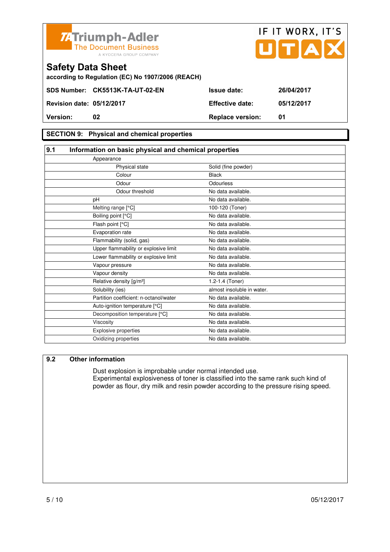

| <b>Version:</b>                  | 02                              | <b>Replace version:</b> |            |
|----------------------------------|---------------------------------|-------------------------|------------|
| <b>Revision date: 05/12/2017</b> |                                 | <b>Effective date:</b>  | 05/12/2017 |
|                                  | SDS Number: CK5513K-TA-UT-02-EN | <b>Issue date:</b>      | 26/04/2017 |
|                                  |                                 |                         |            |

#### **SECTION 9: Physical and chemical properties**

| 9.1 | Information on basic physical and chemical properties |                            |  |
|-----|-------------------------------------------------------|----------------------------|--|
|     | Appearance                                            |                            |  |
|     | Physical state                                        | Solid (fine powder)        |  |
|     | Colour                                                | <b>Black</b>               |  |
|     | Odour                                                 | Odourless                  |  |
|     | Odour threshold                                       | No data available.         |  |
|     | pH                                                    | No data available.         |  |
|     | Melting range [°C]                                    | 100-120 (Toner)            |  |
|     | Boiling point [°C]                                    | No data available.         |  |
|     | Flash point [°C]                                      | No data available.         |  |
|     | Evaporation rate                                      | No data available.         |  |
|     | Flammability (solid, gas)                             | No data available.         |  |
|     | Upper flammability or explosive limit                 | No data available.         |  |
|     | Lower flammability or explosive limit                 | No data available.         |  |
|     | Vapour pressure                                       | No data available.         |  |
|     | Vapour density                                        | No data available.         |  |
|     | Relative density [g/m <sup>3</sup> ]                  | 1.2-1.4 (Toner)            |  |
|     | Solubility (ies)                                      | almost insoluble in water. |  |
|     | Partition coefficient: n-octanol/water                | No data available.         |  |
|     | Auto-ignition temperature [°C]                        | No data available.         |  |
|     | Decomposition temperature [°C]                        | No data available.         |  |
|     | Viscosity                                             | No data available.         |  |
|     | Explosive properties                                  | No data available.         |  |
|     | Oxidizing properties                                  | No data available.         |  |
|     |                                                       |                            |  |

#### **9.2 Other information**

 Dust explosion is improbable under normal intended use. Experimental explosiveness of toner is classified into the same rank such kind of powder as flour, dry milk and resin powder according to the pressure rising speed.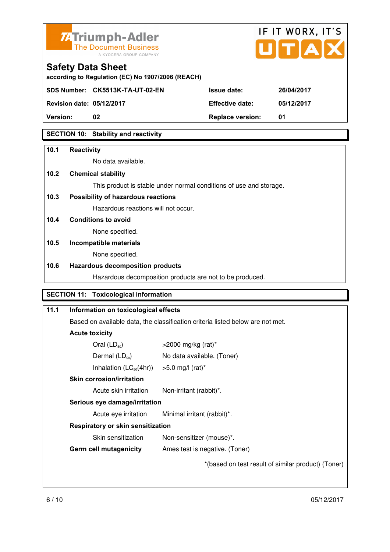



**according to Regulation (EC) No 1907/2006 (REACH)** 

**SDS Number: CK5513K-TA-UT-02-EN Issue date: 26/04/2017** 

**Revision date: 05/12/2017 Effective date: 05/12/2017** 

**Version: 02 Replace version: 01** 

#### **SECTION 10: Stability and reactivity**

#### **10.1 Reactivity**

No data available.

#### **10.2 Chemical stability**

This product is stable under normal conditions of use and storage.

#### **10.3 Possibility of hazardous reactions**

Hazardous reactions will not occur.

#### **10.4 Conditions to avoid**

None specified.

#### **10.5 Incompatible materials**

None specified.

#### **10.6 Hazardous decomposition products**

Hazardous decomposition products are not to be produced.

#### **SECTION 11: Toxicological information**

| 11.1 | Information on toxicological effects                                                                                                                          |                                                    |
|------|---------------------------------------------------------------------------------------------------------------------------------------------------------------|----------------------------------------------------|
|      | Based on available data, the classification criteria listed below are not met.                                                                                |                                                    |
|      | <b>Acute toxicity</b>                                                                                                                                         |                                                    |
|      | Oral $(LD_{50})$                                                                                                                                              | $>$ 2000 mg/kg (rat)*                              |
|      | Dermal $(LD_{50})$                                                                                                                                            | No data available. (Toner)                         |
|      | Inhalation $(LC_{50}(4hr))$ > 5.0 mg/l (rat)*                                                                                                                 |                                                    |
|      | <b>Skin corrosion/irritation</b><br>Acute skin irritation<br>Non-irritant (rabbit)*.<br>Serious eye damage/irritation                                         |                                                    |
|      |                                                                                                                                                               |                                                    |
|      |                                                                                                                                                               |                                                    |
|      | Acute eye irritation                                                                                                                                          | Minimal irritant (rabbit)*.                        |
|      | <b>Respiratory or skin sensitization</b><br>Skin sensitization<br>Non-sensitizer (mouse)*.<br><b>Germ cell mutagenicity</b><br>Ames test is negative. (Toner) |                                                    |
|      |                                                                                                                                                               |                                                    |
|      |                                                                                                                                                               |                                                    |
|      |                                                                                                                                                               | *(based on test result of similar product) (Toner) |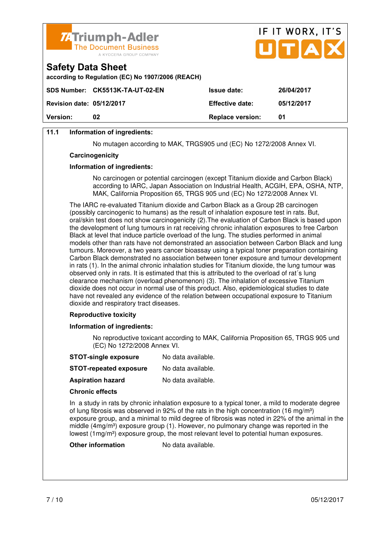

|                                  | <b>74 Triumph-Adier</b><br>The Document Business<br>A KYOCERA GROUP COMPANY |                         | UTAX       |
|----------------------------------|-----------------------------------------------------------------------------|-------------------------|------------|
| <b>Safety Data Sheet</b>         | according to Regulation (EC) No 1907/2006 (REACH)                           |                         |            |
|                                  | SDS Number: CK5513K-TA-UT-02-EN                                             | <b>Issue date:</b>      | 26/04/2017 |
| <b>Revision date: 05/12/2017</b> |                                                                             | <b>Effective date:</b>  | 05/12/2017 |
| Version:                         | 02                                                                          | <b>Replace version:</b> | 01         |

IF IT WORX, IT'S

#### **11.1 Information of ingredients:**

No mutagen according to MAK, TRGS905 und (EC) No 1272/2008 Annex VI.

#### **Carcinogenicity**

#### **Information of ingredients:**

 No carcinogen or potential carcinogen (except Titanium dioxide and Carbon Black) according to IARC, Japan Association on Industrial Health, ACGIH, EPA, OSHA, NTP, MAK, California Proposition 65, TRGS 905 und (EC) No 1272/2008 Annex VI.

 The IARC re-evaluated Titanium dioxide and Carbon Black as a Group 2B carcinogen (possibly carcinogenic to humans) as the result of inhalation exposure test in rats. But, oral/skin test does not show carcinogenicity (2).The evaluation of Carbon Black is based upon the development of lung tumours in rat receiving chronic inhalation exposures to free Carbon Black at level that induce particle overload of the lung. The studies performed in animal models other than rats have not demonstrated an association between Carbon Black and lung tumours. Moreover, a two years cancer bioassay using a typical toner preparation containing Carbon Black demonstrated no association between toner exposure and tumour development in rats (1). In the animal chronic inhalation studies for Titanium dioxide, the lung tumour was observed only in rats. It is estimated that this is attributed to the overload of rat´s lung clearance mechanism (overload phenomenon) (3). The inhalation of excessive Titanium dioxide does not occur in normal use of this product. Also, epidemiological studies to date have not revealed any evidence of the relation between occupational exposure to Titanium dioxide and respiratory tract diseases.

#### **Reproductive toxicity**

#### **Information of ingredients:**

 No reproductive toxicant according to MAK, California Proposition 65, TRGS 905 und (EC) No 1272/2008 Annex VI.

| <b>STOT-repeated exposure</b> | No data available. |
|-------------------------------|--------------------|
|-------------------------------|--------------------|

**Aspiration hazard** No data available.

#### **Chronic effects**

 In a study in rats by chronic inhalation exposure to a typical toner, a mild to moderate degree of lung fibrosis was observed in 92% of the rats in the high concentration (16 mg/m<sup>3</sup>) exposure group, and a minimal to mild degree of fibrosis was noted in 22% of the animal in the middle  $(4mg/m<sup>3</sup>)$  exposure group (1). However, no pulmonary change was reported in the lowest (1mg/m<sup>3</sup>) exposure group, the most relevant level to potential human exposures.

**Other information** No data available.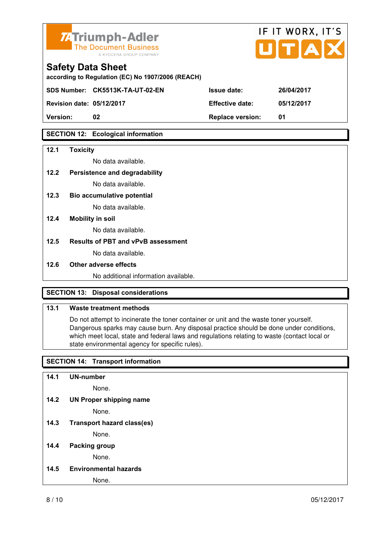

**according to Regulation (EC) No 1907/2006 (REACH)** 

**SDS Number: CK5513K-TA-UT-02-EN Issue date: 26/04/2017** 

**Revision date: 05/12/2017 Effective date: 05/12/2017** 

**Version: 02 Replace version: 01** 

#### **SECTION 12: Ecological information**

#### **12.1 Toxicity**

No data available.

#### **12.2 Persistence and degradability**

No data available.

**12.3 Bio accumulative potential** 

No data available.

#### **12.4 Mobility in soil**

No data available.

#### **12.5 Results of PBT and vPvB assessment**

No data available.

#### **12.6 Other adverse effects**

No additional information available.

#### **SECTION 13: Disposal considerations**

#### **13.1 Waste treatment methods**

 Do not attempt to incinerate the toner container or unit and the waste toner yourself. Dangerous sparks may cause burn. Any disposal practice should be done under conditions, which meet local, state and federal laws and regulations relating to waste (contact local or state environmental agency for specific rules).

#### **SECTION 14: Transport information**

#### **14.1 UN-number**

None.

**14.2 UN Proper shipping name** 

None.

**14.3 Transport hazard class(es)** 

None.

#### **14.4 Packing group**

None.

**14.5 Environmental hazards** 

None.

IF IT WORX, IT'S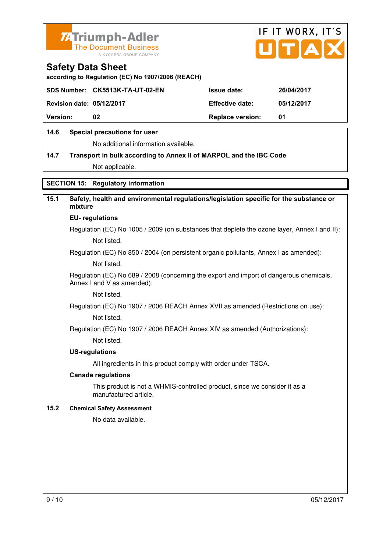



**according to Regulation (EC) No 1907/2006 (REACH)** 

| SDS Number: CK5513K-TA-UT-02-EN  | 26/04/2017                                                              |
|----------------------------------|-------------------------------------------------------------------------|
| <b>Revision date: 05/12/2017</b> | 05/12/2017                                                              |
|                                  | 01                                                                      |
|                                  | <b>Issue date:</b><br><b>Effective date:</b><br><b>Replace version:</b> |

#### **14.6 Special precautions for user**

No additional information available.

#### **14.7 Transport in bulk according to Annex II of MARPOL and the IBC Code**

Not applicable.

#### **SECTION 15: Regulatory information**

#### **15.1 Safety, health and environmental regulations/legislation specific for the substance or mixture**

#### **EU- regulations**

Regulation (EC) No 1005 / 2009 (on substances that deplete the ozone layer, Annex I and II): Not listed.

Regulation (EC) No 850 / 2004 (on persistent organic pollutants, Annex I as amended):

Not listed.

 Regulation (EC) No 689 / 2008 (concerning the export and import of dangerous chemicals, Annex I and V as amended):

Not listed.

Regulation (EC) No 1907 / 2006 REACH Annex XVII as amended (Restrictions on use):

Not listed.

Regulation (EC) No 1907 / 2006 REACH Annex XIV as amended (Authorizations):

Not listed.

#### **US-regulations**

All ingredients in this product comply with order under TSCA.

#### **Canada regulations**

 This product is not a WHMIS-controlled product, since we consider it as a manufactured article.

#### **15.2 Chemical Safety Assessment**

No data available.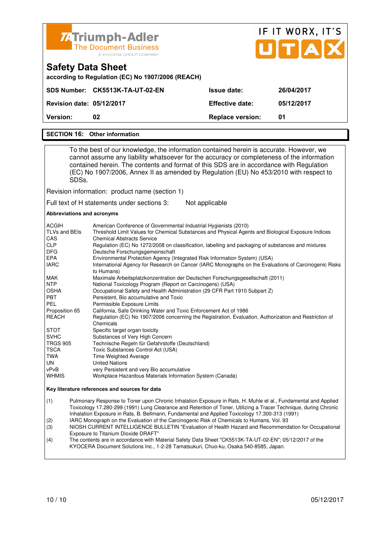

# IF IT WORX, IT'S

|                                  | according to Regulation (EC) No 1907/2006 (REACH) |                         |            |
|----------------------------------|---------------------------------------------------|-------------------------|------------|
|                                  | SDS Number: CK5513K-TA-UT-02-EN                   | <b>Issue date:</b>      | 26/04/2017 |
| <b>Revision date: 05/12/2017</b> |                                                   | <b>Effective date:</b>  | 05/12/2017 |
| Version:                         | 02                                                | <b>Replace version:</b> | 01         |

#### **SECTION 16: Other information**

**Safety Data Sheet** 

 To the best of our knowledge, the information contained herein is accurate. However, we cannot assume any liability whatsoever for the accuracy or completeness of the information contained herein. The contents and format of this SDS are in accordance with Regulation (EC) No 1907/2006, Annex II as amended by Regulation (EU) No 453/2010 with respect to SDSs.

Revision information: product name (section 1)

Full text of H statements under sections 3: Not applicable

#### **Abbreviations and acronyms**

| <b>ACGIH</b>    | American Conference of Governmental Industrial Hygienists (2010)                                                    |
|-----------------|---------------------------------------------------------------------------------------------------------------------|
| TLVs and BEIs   | Threshold Limit Values for Chemical Substances and Physical Agents and Biological Exposure Indices                  |
| CAS             | <b>Chemical Abstracts Service</b>                                                                                   |
| <b>CLP</b>      | Regulation (EC) No 1272/2008 on classification, labelling and packaging of substances and mixtures                  |
| <b>DFG</b>      | Deutsche Forschungsgemeinschaft                                                                                     |
| <b>EPA</b>      | Environmental Protection Agency (Integrated Risk Information System) (USA)                                          |
| <b>IARC</b>     | International Agency for Research on Cancer (IARC Monographs on the Evaluations of Carcinogenic Risks<br>to Humans) |
| MAK             | Maximale Arbeitsplatzkonzentration der Deutschen Forschungsgesellschaft (2011)                                      |
| <b>NTP</b>      | National Toxicology Program (Report on Carcinogens) (USA)                                                           |
| <b>OSHA</b>     | Occupational Safety and Health Administration (29 CFR Part 1910 Subpart Z)                                          |
| <b>PBT</b>      | Persistent, Bio accumulative and Toxic                                                                              |
| PEL             | Permissible Exposure Limits                                                                                         |
| Proposition 65  | California, Safe Drinking Water and Toxic Enforcement Act of 1986                                                   |
| <b>REACH</b>    | Regulation (EC) No 1907/2006 concerning the Registration, Evaluation, Authorization and Restriction of<br>Chemicals |
| <b>STOT</b>     | Specific target organ toxicity                                                                                      |
| <b>SVHC</b>     | Substances of Very High Concern                                                                                     |
| <b>TRGS 905</b> | Technische Regeln für Gefahrstoffe (Deutschland)                                                                    |
| <b>TSCA</b>     | Toxic Substances Control Act (USA)                                                                                  |
| TWA             | Time Weighted Average                                                                                               |
| UN              | <b>United Nations</b>                                                                                               |
| vPvB            | very Persistent and very Bio accumulative                                                                           |
| <b>WHMIS</b>    | Workplace Hazardous Materials Information System (Canada)                                                           |

#### **Key literature references and sources for data**

(1) Pulmonary Response to Toner upon Chronic Inhalation Exposure in Rats, H. Muhle et al., Fundamental and Applied Toxicology 17.280-299 (1991) Lung Clearance and Retention of Toner, Utilizing a Tracer Technique, during Chronic Inhalation Exposure in Rats, B. Bellmann, Fundamental and Applied Toxicology 17.300-313 (1991)

(2) IARC Monograph on the Evaluation of the Carcinogenic Risk of Chemicals to Humans, Vol. 93

(3) NIOSH CURRENT INTELLIGENCE BULLETIN "Evaluation of Health Hazard and Recommendation for Occupational Exposure to Titanium Dioxide DRAFT<br>(4) The contents are in accordance with M

The contents are in accordance with Material Safety Data Sheet "CK5513K-TA-UT-02-EN"; 05/12/2017 of the KYOCERA Document Solutions Inc., 1-2-28 Tamatsukuri, Chuo-ku, Osaka 540-8585, Japan.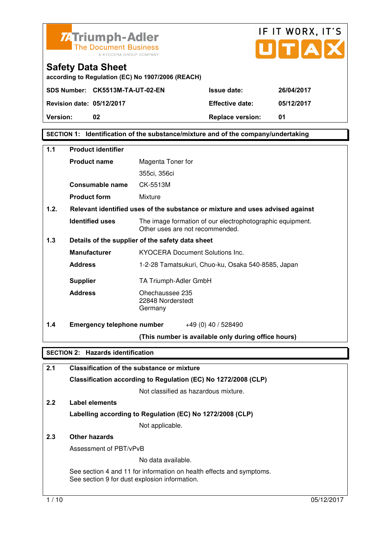



**according to Regulation (EC) No 1907/2006 (REACH)** 

**SDS Number: CK5513M-TA-UT-02-EN Issue date: 26/04/2017 Revision date: 05/12/2017 Effective date: 05/12/2017 Version: 02 Replace version: 01** 

**SECTION 1: Identification of the substance/mixture and of the company/undertaking** 

| 1.1  | <b>Product identifier</b>                |                                                                                              |  |  |
|------|------------------------------------------|----------------------------------------------------------------------------------------------|--|--|
|      |                                          |                                                                                              |  |  |
|      | <b>Product name</b>                      | Magenta Toner for                                                                            |  |  |
|      |                                          | 355ci, 356ci                                                                                 |  |  |
|      | Consumable name                          | CK-5513M                                                                                     |  |  |
|      | <b>Product form</b>                      | Mixture                                                                                      |  |  |
| 1.2. |                                          | Relevant identified uses of the substance or mixture and uses advised against                |  |  |
|      | <b>Identified uses</b>                   | The image formation of our electrophotographic equipment.<br>Other uses are not recommended. |  |  |
| 1.3  |                                          | Details of the supplier of the safety data sheet                                             |  |  |
|      | <b>Manufacturer</b>                      | <b>KYOCERA Document Solutions Inc.</b>                                                       |  |  |
|      | <b>Address</b>                           | 1-2-28 Tamatsukuri, Chuo-ku, Osaka 540-8585, Japan                                           |  |  |
|      | <b>Supplier</b>                          | TA Triumph-Adler GmbH                                                                        |  |  |
|      | <b>Address</b>                           | Ohechaussee 235<br>22848 Norderstedt<br>Germany                                              |  |  |
| 1.4  | <b>Emergency telephone number</b>        | +49 (0) 40 / 528490                                                                          |  |  |
|      |                                          | (This number is available only during office hours)                                          |  |  |
|      | <b>SECTION 2: Hazards identification</b> |                                                                                              |  |  |
| 2.1  |                                          | Classification of the substance or mixture                                                   |  |  |
|      |                                          | Classification according to Regulation (EC) No 1272/2008 (CLP)                               |  |  |
|      |                                          | Not classified as hazardous mixture.                                                         |  |  |
| 2.2  | <b>Label elements</b>                    |                                                                                              |  |  |
|      |                                          |                                                                                              |  |  |
|      |                                          | Labelling according to Regulation (EC) No 1272/2008 (CLP)                                    |  |  |

Not applicable.

#### **2.3 Other hazards**

Assessment of PBT/vPvB

No data available.

 See section 4 and 11 for information on health effects and symptoms. See section 9 for dust explosion information.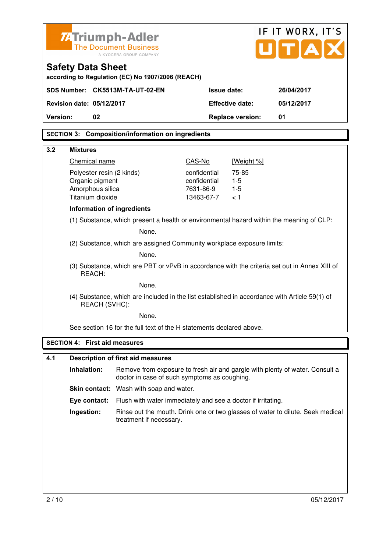| <b>ZATriumph-Adler</b>                                                 | <b>The Document Business</b><br>A KYOCERA GROUP COMPANY                                       |                           |                         | IF IT WORX, IT'S<br>UITIA                                                      |
|------------------------------------------------------------------------|-----------------------------------------------------------------------------------------------|---------------------------|-------------------------|--------------------------------------------------------------------------------|
| <b>Safety Data Sheet</b>                                               | according to Regulation (EC) No 1907/2006 (REACH)                                             |                           |                         |                                                                                |
| SDS Number: CK5513M-TA-UT-02-EN                                        |                                                                                               | <b>Issue date:</b>        |                         | 26/04/2017                                                                     |
| <b>Revision date: 05/12/2017</b>                                       |                                                                                               |                           | <b>Effective date:</b>  | 05/12/2017                                                                     |
| Version:<br>02                                                         |                                                                                               |                           | <b>Replace version:</b> | 01                                                                             |
|                                                                        | <b>SECTION 3: Composition/information on ingredients</b>                                      |                           |                         |                                                                                |
| 3.2<br><b>Mixtures</b>                                                 |                                                                                               |                           |                         |                                                                                |
| Chemical name                                                          |                                                                                               | CAS-No                    | [Weight %]              |                                                                                |
| Polyester resin (2 kinds)                                              |                                                                                               | confidential              | 75-85                   |                                                                                |
| Organic pigment<br>Amorphous silica                                    |                                                                                               | confidential<br>7631-86-9 | $1-5$<br>$1-5$          |                                                                                |
| Titanium dioxide                                                       |                                                                                               | 13463-67-7                | 1 >                     |                                                                                |
| Information of ingredients                                             |                                                                                               |                           |                         |                                                                                |
|                                                                        | (1) Substance, which present a health or environmental hazard within the meaning of CLP:      |                           |                         |                                                                                |
|                                                                        | None.                                                                                         |                           |                         |                                                                                |
| (2) Substance, which are assigned Community workplace exposure limits: |                                                                                               |                           |                         |                                                                                |
| None.                                                                  |                                                                                               |                           |                         |                                                                                |
| REACH:                                                                 | (3) Substance, which are PBT or vPvB in accordance with the criteria set out in Annex XIII of |                           |                         |                                                                                |
|                                                                        | None.                                                                                         |                           |                         |                                                                                |
| REACH (SVHC):                                                          | (4) Substance, which are included in the list established in accordance with Article 59(1) of |                           |                         |                                                                                |
|                                                                        | None.                                                                                         |                           |                         |                                                                                |
|                                                                        | See section 16 for the full text of the H statements declared above.                          |                           |                         |                                                                                |
| <b>SECTION 4: First aid measures</b>                                   |                                                                                               |                           |                         |                                                                                |
| 4.1                                                                    | <b>Description of first aid measures</b>                                                      |                           |                         |                                                                                |
| Inhalation:                                                            | doctor in case of such symptoms as coughing.                                                  |                           |                         | Remove from exposure to fresh air and gargle with plenty of water. Consult a   |
|                                                                        | Skin contact: Wash with soap and water.                                                       |                           |                         |                                                                                |
| Eye contact:                                                           | Flush with water immediately and see a doctor if irritating.                                  |                           |                         |                                                                                |
| Ingestion:                                                             | treatment if necessary.                                                                       |                           |                         | Rinse out the mouth. Drink one or two glasses of water to dilute. Seek medical |
|                                                                        |                                                                                               |                           |                         |                                                                                |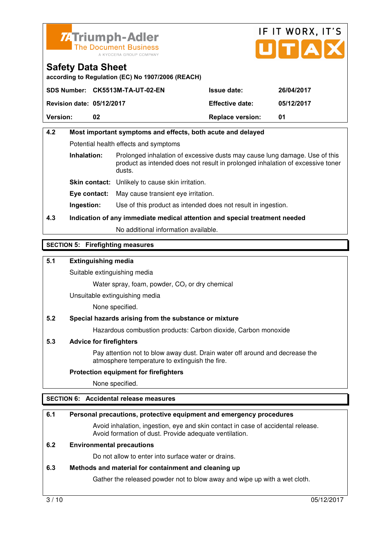



**according to Regulation (EC) No 1907/2006 (REACH)** 

|                                  | SDS Number: CK5513M-TA-UT-02-EN | <b>Issue date:</b>      | 26/04/2017 |
|----------------------------------|---------------------------------|-------------------------|------------|
| <b>Revision date: 05/12/2017</b> |                                 | <b>Effective date:</b>  | 05/12/2017 |
| <b>Version:</b>                  | 02                              | <b>Replace version:</b> | 01         |

#### **4.2 Most important symptoms and effects, both acute and delayed**  Potential health effects and symptoms **Inhalation:** Prolonged inhalation of excessive dusts may cause lung damage. Use of this product as intended does not result in prolonged inhalation of excessive toner dusts. **Skin contact:** Unlikely to cause skin irritation. **Eye contact:** May cause transient eye irritation.

**Ingestion:** Use of this product as intended does not result in ingestion.

#### **4.3 Indication of any immediate medical attention and special treatment needed**

No additional information available.

#### **SECTION 5: Firefighting measures**

#### **5.1 Extinguishing media**

Suitable extinguishing media

Water spray, foam, powder,  $CO<sub>2</sub>$  or dry chemical

Unsuitable extinguishing media

None specified.

#### **5.2 Special hazards arising from the substance or mixture**

Hazardous combustion products: Carbon dioxide, Carbon monoxide

#### **5.3 Advice for firefighters**

 Pay attention not to blow away dust. Drain water off around and decrease the atmosphere temperature to extinguish the fire.

#### **Protection equipment for firefighters**

None specified.

#### **SECTION 6: Accidental release measures**

#### **6.1 Personal precautions, protective equipment and emergency procedures**

 Avoid inhalation, ingestion, eye and skin contact in case of accidental release. Avoid formation of dust. Provide adequate ventilation.

#### **6.2 Environmental precautions**

Do not allow to enter into surface water or drains.

#### **6.3 Methods and material for containment and cleaning up**

Gather the released powder not to blow away and wipe up with a wet cloth.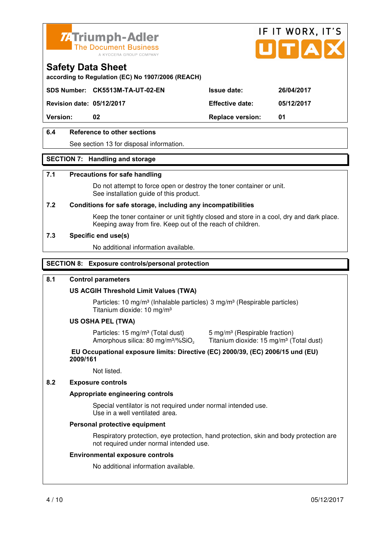



**according to Regulation (EC) No 1907/2006 (REACH)** 

**SDS Number: CK5513M-TA-UT-02-EN Issue date: 26/04/2017** 

**Revision date: 05/12/2017 Effective date: 05/12/2017** 

**Version: 02 Replace version: 01** 

#### **6.4 Reference to other sections**

See section 13 for disposal information.

#### **SECTION 7: Handling and storage**

#### **7.1 Precautions for safe handling**

 Do not attempt to force open or destroy the toner container or unit. See installation guide of this product.

#### **7.2 Conditions for safe storage, including any incompatibilities**

Keep the toner container or unit tightly closed and store in a cool, dry and dark place. Keeping away from fire. Keep out of the reach of children.

#### **7.3 Specific end use(s)**

No additional information available.

#### **SECTION 8: Exposure controls/personal protection**

#### **8.1 Control parameters**

#### **US ACGIH Threshold Limit Values (TWA)**

Particles: 10 mg/m<sup>3</sup> (Inhalable particles) 3 mg/m<sup>3</sup> (Respirable particles) Titanium dioxide: 10 mg/m³

#### **US OSHA PEL (TWA)**

Particles: 15 mg/m<sup>3</sup> (Total dust) 5 mg/m<sup>3</sup> (Respirable fraction) Amorphous silica: 80 mg/m<sup>3</sup>/%SiO<sub>2</sub>

Titanium dioxide: 15 mg/m<sup>3</sup> (Total dust)

#### **EU Occupational exposure limits: Directive (EC) 2000/39, (EC) 2006/15 und (EU) 2009/161**

Not listed.

#### **8.2 Exposure controls**

#### **Appropriate engineering controls**

 Special ventilator is not required under normal intended use. Use in a well ventilated area.

#### **Personal protective equipment**

 Respiratory protection, eye protection, hand protection, skin and body protection are not required under normal intended use.

#### **Environmental exposure controls**

No additional information available.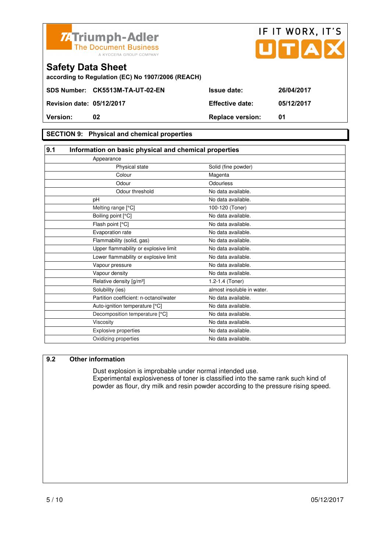

**Revision date: 05/12/2017 Effective date: 05/12/2017 Version: 02 Replace version: 01** 

#### **SECTION 9: Physical and chemical properties**

#### **9.1 Information on basic physical and chemical properties** Appearance Physical state Solid (fine powder) Colour Magenta Odour **Odourless** Odour threshold No data available. pH No data available. Melting range  $[°C]$  100-120 (Toner) Boiling point [°C] No data available. Flash point [°C] The Contract of the Modata available. Evaporation rate No data available. Flammability (solid, gas) No data available. Upper flammability or explosive limit No data available. Lower flammability or explosive limit No data available. Vapour pressure No data available. Vapour density **No data available**. Relative density  $[g/m^3]$  1.2-1.4 (Toner) Solubility (ies) almost insoluble in water. Partition coefficient: n-octanol/water No data available. Auto-ignition temperature [°C] No data available. Decomposition temperature [°C] No data available. Viscosity **No data available.** Explosive properties No data available. Oxidizing properties No data available.

#### **9.2 Other information**

 Dust explosion is improbable under normal intended use. Experimental explosiveness of toner is classified into the same rank such kind of powder as flour, dry milk and resin powder according to the pressure rising speed.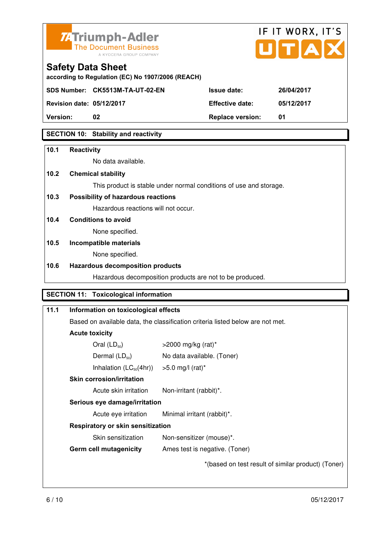

## IF IT WORX, IT'S

#### **Safety Data Sheet**

**according to Regulation (EC) No 1907/2006 (REACH)** 

**SDS Number: CK5513M-TA-UT-02-EN Issue date: 26/04/2017** 

**Revision date: 05/12/2017 Effective date: 05/12/2017** 

**Version: 02 Replace version: 01** 

#### **SECTION 10: Stability and reactivity**

#### **10.1 Reactivity**

No data available.

#### **10.2 Chemical stability**

This product is stable under normal conditions of use and storage.

#### **10.3 Possibility of hazardous reactions**

Hazardous reactions will not occur.

#### **10.4 Conditions to avoid**

None specified.

#### **10.5 Incompatible materials**

None specified.

#### **10.6 Hazardous decomposition products**

Hazardous decomposition products are not to be produced.

#### **SECTION 11: Toxicological information**

| 11.1 | Information on toxicological effects                                                                                  |                                                    |  |
|------|-----------------------------------------------------------------------------------------------------------------------|----------------------------------------------------|--|
|      | Based on available data, the classification criteria listed below are not met.                                        |                                                    |  |
|      | <b>Acute toxicity</b>                                                                                                 |                                                    |  |
|      | Oral $(LD_{50})$                                                                                                      | $>$ 2000 mg/kg (rat)*                              |  |
|      | Dermal $(LD_{50})$                                                                                                    | No data available. (Toner)                         |  |
|      | Inhalation $(LC_{50}(4hr))$<br>$>5.0$ mg/l (rat)*                                                                     |                                                    |  |
|      | <b>Skin corrosion/irritation</b><br>Acute skin irritation<br>Non-irritant (rabbit)*.<br>Serious eye damage/irritation |                                                    |  |
|      |                                                                                                                       |                                                    |  |
|      |                                                                                                                       |                                                    |  |
|      | Acute eye irritation                                                                                                  | Minimal irritant (rabbit)*.                        |  |
|      | <b>Respiratory or skin sensitization</b>                                                                              |                                                    |  |
|      | Skin sensitization                                                                                                    | Non-sensitizer (mouse)*.                           |  |
|      | <b>Germ cell mutagenicity</b>                                                                                         | Ames test is negative. (Toner)                     |  |
|      |                                                                                                                       | *(based on test result of similar product) (Toner) |  |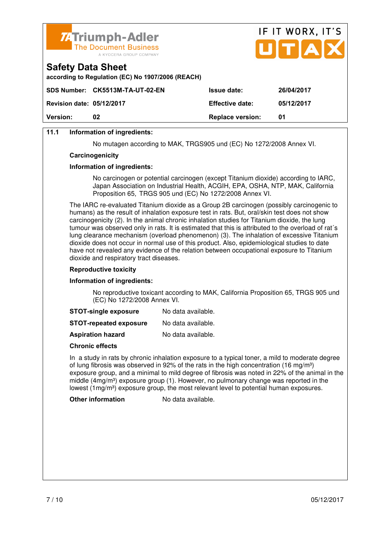



#### **11.1 Information of ingredients:**

No mutagen according to MAK, TRGS905 und (EC) No 1272/2008 Annex VI.

#### **Carcinogenicity**

#### **Information of ingredients:**

 No carcinogen or potential carcinogen (except Titanium dioxide) according to IARC, Japan Association on Industrial Health, ACGIH, EPA, OSHA, NTP, MAK, California Proposition 65, TRGS 905 und (EC) No 1272/2008 Annex VI.

 The IARC re-evaluated Titanium dioxide as a Group 2B carcinogen (possibly carcinogenic to humans) as the result of inhalation exposure test in rats. But, oral/skin test does not show carcinogenicity (2). In the animal chronic inhalation studies for Titanium dioxide, the lung tumour was observed only in rats. It is estimated that this is attributed to the overload of rat´s lung clearance mechanism (overload phenomenon) (3). The inhalation of excessive Titanium dioxide does not occur in normal use of this product. Also, epidemiological studies to date have not revealed any evidence of the relation between occupational exposure to Titanium dioxide and respiratory tract diseases.

#### **Reproductive toxicity**

#### **Information of ingredients:**

 No reproductive toxicant according to MAK, California Proposition 65, TRGS 905 und (EC) No 1272/2008 Annex VI.

| <b>STOT-single exposure</b> | No data available. |
|-----------------------------|--------------------|
|-----------------------------|--------------------|

**STOT-repeated exposure** No data available.

**Aspiration hazard** No data available.

#### **Chronic effects**

 In a study in rats by chronic inhalation exposure to a typical toner, a mild to moderate degree of lung fibrosis was observed in 92% of the rats in the high concentration (16 mg/m<sup>3</sup>) exposure group, and a minimal to mild degree of fibrosis was noted in 22% of the animal in the middle  $(4mg/m<sup>3</sup>)$  exposure group (1). However, no pulmonary change was reported in the lowest  $(1 \text{mg/m}^3)$  exposure group, the most relevant level to potential human exposures.

**Other information** No data available.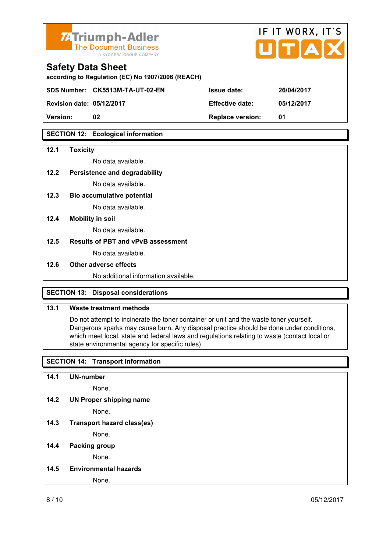

**according to Regulation (EC) No 1907/2006 (REACH)** 

**SDS Number: CK5513M-TA-UT-02-EN Issue date: 26/04/2017** 

**Revision date: 05/12/2017 Effective date: 05/12/2017** 

**Version: 02 Replace version: 01** 

#### **SECTION 12: Ecological information**

#### **12.1 Toxicity**

No data available.

#### **12.2 Persistence and degradability**

No data available.

**12.3 Bio accumulative potential** 

No data available.

#### **12.4 Mobility in soil**

No data available.

#### **12.5 Results of PBT and vPvB assessment**

No data available.

#### **12.6 Other adverse effects**

No additional information available.

#### **SECTION 13: Disposal considerations**

#### **13.1 Waste treatment methods**

 Do not attempt to incinerate the toner container or unit and the waste toner yourself. Dangerous sparks may cause burn. Any disposal practice should be done under conditions, which meet local, state and federal laws and regulations relating to waste (contact local or state environmental agency for specific rules).

#### **SECTION 14: Transport information**

#### **14.1 UN-number**

None.

**14.2 UN Proper shipping name** 

None.

**14.3 Transport hazard class(es)** 

None.

#### **14.4 Packing group**

None.

**14.5 Environmental hazards** 

None.

IF IT WORX, IT'S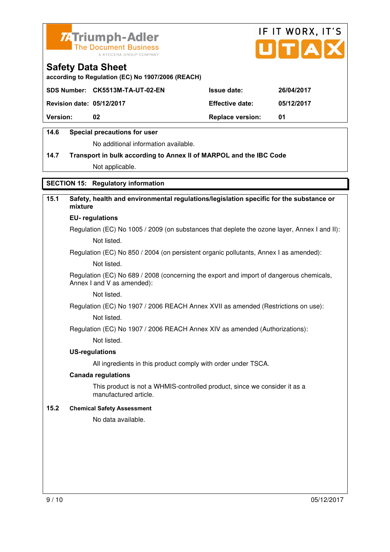



**according to Regulation (EC) No 1907/2006 (REACH)** 

|                                  | SDS Number: CK5513M-TA-UT-02-EN | <b>Issue date:</b>      | 26/04/2017 |
|----------------------------------|---------------------------------|-------------------------|------------|
| <b>Revision date: 05/12/2017</b> |                                 | <b>Effective date:</b>  | 05/12/2017 |
| <b>Version:</b>                  | 02                              | <b>Replace version:</b> | 01         |

#### **14.6 Special precautions for user**

No additional information available.

#### **14.7 Transport in bulk according to Annex II of MARPOL and the IBC Code**

Not applicable.

#### **SECTION 15: Regulatory information**

#### **15.1 Safety, health and environmental regulations/legislation specific for the substance or mixture**

#### **EU- regulations**

Regulation (EC) No 1005 / 2009 (on substances that deplete the ozone layer, Annex I and II): Not listed.

Regulation (EC) No 850 / 2004 (on persistent organic pollutants, Annex I as amended):

Not listed.

 Regulation (EC) No 689 / 2008 (concerning the export and import of dangerous chemicals, Annex I and V as amended):

Not listed.

Regulation (EC) No 1907 / 2006 REACH Annex XVII as amended (Restrictions on use):

Not listed.

Regulation (EC) No 1907 / 2006 REACH Annex XIV as amended (Authorizations):

Not listed.

#### **US-regulations**

All ingredients in this product comply with order under TSCA.

#### **Canada regulations**

 This product is not a WHMIS-controlled product, since we consider it as a manufactured article.

#### **15.2 Chemical Safety Assessment**

No data available.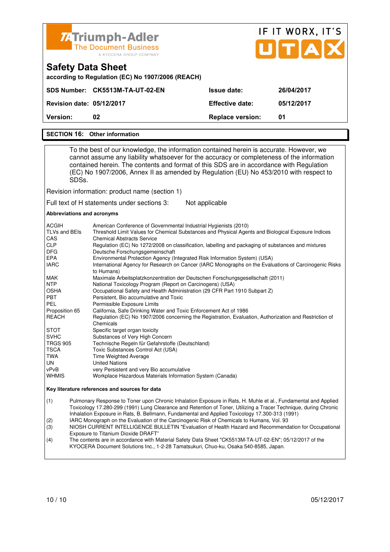

## IF IT WORX, IT'S ПТА

| Version:                                          | 02                              | <b>Replace version:</b> | 01         |  |
|---------------------------------------------------|---------------------------------|-------------------------|------------|--|
| <b>Revision date: 05/12/2017</b>                  |                                 | <b>Effective date:</b>  | 05/12/2017 |  |
|                                                   | SDS Number: CK5513M-TA-UT-02-EN | <b>Issue date:</b>      | 26/04/2017 |  |
| according to Regulation (EC) No 1907/2006 (REACH) |                                 |                         |            |  |

#### **SECTION 16: Other information**

**Safety Data Sheet** 

 To the best of our knowledge, the information contained herein is accurate. However, we cannot assume any liability whatsoever for the accuracy or completeness of the information contained herein. The contents and format of this SDS are in accordance with Regulation (EC) No 1907/2006, Annex II as amended by Regulation (EU) No 453/2010 with respect to SDSs.

Revision information: product name (section 1)

Full text of H statements under sections 3: Not applicable

#### **Abbreviations and acronyms**

| <b>ACGIH</b>    | American Conference of Governmental Industrial Hygienists (2010)                                                    |
|-----------------|---------------------------------------------------------------------------------------------------------------------|
| TLVs and BEIs   | Threshold Limit Values for Chemical Substances and Physical Agents and Biological Exposure Indices                  |
| CAS             | <b>Chemical Abstracts Service</b>                                                                                   |
| <b>CLP</b>      | Regulation (EC) No 1272/2008 on classification, labelling and packaging of substances and mixtures                  |
| <b>DFG</b>      | Deutsche Forschungsgemeinschaft                                                                                     |
| <b>EPA</b>      | Environmental Protection Agency (Integrated Risk Information System) (USA)                                          |
| <b>IARC</b>     | International Agency for Research on Cancer (IARC Monographs on the Evaluations of Carcinogenic Risks<br>to Humans) |
| MAK             | Maximale Arbeitsplatzkonzentration der Deutschen Forschungsgesellschaft (2011)                                      |
| <b>NTP</b>      | National Toxicology Program (Report on Carcinogens) (USA)                                                           |
| <b>OSHA</b>     | Occupational Safety and Health Administration (29 CFR Part 1910 Subpart Z)                                          |
| <b>PBT</b>      | Persistent, Bio accumulative and Toxic                                                                              |
| PEL             | Permissible Exposure Limits                                                                                         |
| Proposition 65  | California, Safe Drinking Water and Toxic Enforcement Act of 1986                                                   |
| <b>REACH</b>    | Regulation (EC) No 1907/2006 concerning the Registration, Evaluation, Authorization and Restriction of<br>Chemicals |
| <b>STOT</b>     | Specific target organ toxicity                                                                                      |
| <b>SVHC</b>     | Substances of Very High Concern                                                                                     |
| <b>TRGS 905</b> | Technische Regeln für Gefahrstoffe (Deutschland)                                                                    |
| <b>TSCA</b>     | Toxic Substances Control Act (USA)                                                                                  |
| TWA             | Time Weighted Average                                                                                               |
| UN              | <b>United Nations</b>                                                                                               |
| vPvB            | very Persistent and very Bio accumulative                                                                           |
| <b>WHMIS</b>    | Workplace Hazardous Materials Information System (Canada)                                                           |

#### **Key literature references and sources for data**

(1) Pulmonary Response to Toner upon Chronic Inhalation Exposure in Rats, H. Muhle et al., Fundamental and Applied Toxicology 17.280-299 (1991) Lung Clearance and Retention of Toner, Utilizing a Tracer Technique, during Chronic Inhalation Exposure in Rats, B. Bellmann, Fundamental and Applied Toxicology 17.300-313 (1991)

(2) IARC Monograph on the Evaluation of the Carcinogenic Risk of Chemicals to Humans, Vol. 93

(3) NIOSH CURRENT INTELLIGENCE BULLETIN "Evaluation of Health Hazard and Recommendation for Occupational Exposure to Titanium Dioxide DRAFT<br>(4) The contents are in accordance with M

The contents are in accordance with Material Safety Data Sheet "CK5513M-TA-UT-02-EN"; 05/12/2017 of the KYOCERA Document Solutions Inc., 1-2-28 Tamatsukuri, Chuo-ku, Osaka 540-8585, Japan.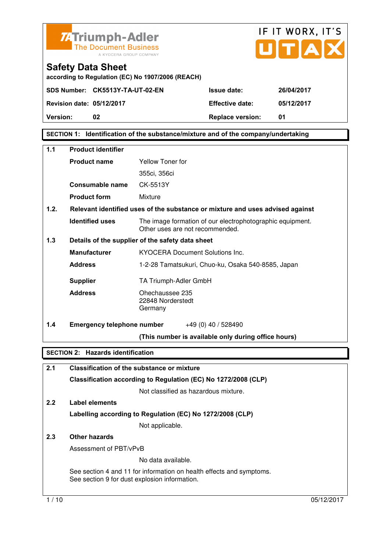



**according to Regulation (EC) No 1907/2006 (REACH)** 

**SDS Number: CK5513Y-TA-UT-02-EN Issue date: 26/04/2017** 

**Revision date: 05/12/2017 Effective date: 05/12/2017 Version: 02 Replace version: 01** 

**SECTION 1: Identification of the substance/mixture and of the company/undertaking** 

| 1.1                                      | <b>Product identifier</b>                         |                                                                                              |  |
|------------------------------------------|---------------------------------------------------|----------------------------------------------------------------------------------------------|--|
|                                          | <b>Product name</b>                               | <b>Yellow Toner for</b>                                                                      |  |
|                                          |                                                   | 355ci, 356ci                                                                                 |  |
|                                          | Consumable name                                   | CK-5513Y                                                                                     |  |
|                                          | <b>Product form</b>                               | Mixture                                                                                      |  |
| 1.2.                                     |                                                   | Relevant identified uses of the substance or mixture and uses advised against                |  |
|                                          | <b>Identified uses</b>                            | The image formation of our electrophotographic equipment.<br>Other uses are not recommended. |  |
| 1.3                                      |                                                   | Details of the supplier of the safety data sheet                                             |  |
|                                          | <b>Manufacturer</b>                               | <b>KYOCERA Document Solutions Inc.</b>                                                       |  |
|                                          | <b>Address</b>                                    | 1-2-28 Tamatsukuri, Chuo-ku, Osaka 540-8585, Japan                                           |  |
|                                          | <b>Supplier</b>                                   | TA Triumph-Adler GmbH                                                                        |  |
|                                          | <b>Address</b>                                    | Ohechaussee 235<br>22848 Norderstedt<br>Germany                                              |  |
| 1.4                                      | <b>Emergency telephone number</b>                 | $+49(0)$ 40 / 528490                                                                         |  |
|                                          |                                                   | (This number is available only during office hours)                                          |  |
| <b>SECTION 2: Hazards identification</b> |                                                   |                                                                                              |  |
| 2.1                                      | <b>Classification of the substance or mixture</b> |                                                                                              |  |

**Classification according to Regulation (EC) No 1272/2008 (CLP)**

Not classified as hazardous mixture.

#### **2.2 Label elements Labelling according to Regulation (EC) No 1272/2008 (CLP)**

Not applicable.

#### **2.3 Other hazards**

Assessment of PBT/vPvB

No data available.

 See section 4 and 11 for information on health effects and symptoms. See section 9 for dust explosion information.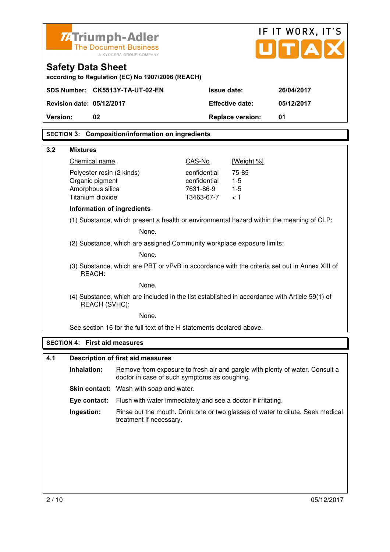| <b>ZATriumph-Adler</b><br><b>The Document Business</b><br>A KYOCERA GROUP COMPANY                 |                                                                                               |                         | IF IT WORX, IT'S<br>UITIA |                                                                                |
|---------------------------------------------------------------------------------------------------|-----------------------------------------------------------------------------------------------|-------------------------|---------------------------|--------------------------------------------------------------------------------|
| <b>Safety Data Sheet</b>                                                                          | according to Regulation (EC) No 1907/2006 (REACH)                                             |                         |                           |                                                                                |
| SDS Number: CK5513Y-TA-UT-02-EN                                                                   |                                                                                               | <b>Issue date:</b>      |                           | 26/04/2017                                                                     |
| Revision date: 05/12/2017                                                                         |                                                                                               |                         | <b>Effective date:</b>    | 05/12/2017                                                                     |
| Version:<br>02                                                                                    |                                                                                               |                         | <b>Replace version:</b>   | 01                                                                             |
|                                                                                                   | <b>SECTION 3: Composition/information on ingredients</b>                                      |                         |                           |                                                                                |
| 3.2<br><b>Mixtures</b>                                                                            |                                                                                               |                         |                           |                                                                                |
| Chemical name                                                                                     |                                                                                               | CAS-No                  | [Weight %]                |                                                                                |
| Polyester resin (2 kinds)                                                                         |                                                                                               | confidential            | 75-85                     |                                                                                |
| Organic pigment                                                                                   |                                                                                               | confidential            | $1 - 5$                   |                                                                                |
| Amorphous silica<br>Titanium dioxide                                                              |                                                                                               | 7631-86-9<br>13463-67-7 | $1 - 5$<br>ا >            |                                                                                |
| Information of ingredients                                                                        |                                                                                               |                         |                           |                                                                                |
|                                                                                                   |                                                                                               |                         |                           |                                                                                |
| (1) Substance, which present a health or environmental hazard within the meaning of CLP:<br>None. |                                                                                               |                         |                           |                                                                                |
| (2) Substance, which are assigned Community workplace exposure limits:                            |                                                                                               |                         |                           |                                                                                |
|                                                                                                   | None.                                                                                         |                         |                           |                                                                                |
| REACH:                                                                                            | (3) Substance, which are PBT or vPvB in accordance with the criteria set out in Annex XIII of |                         |                           |                                                                                |
|                                                                                                   | None.                                                                                         |                         |                           |                                                                                |
| REACH (SVHC):                                                                                     | (4) Substance, which are included in the list established in accordance with Article 59(1) of |                         |                           |                                                                                |
|                                                                                                   | None.                                                                                         |                         |                           |                                                                                |
|                                                                                                   | See section 16 for the full text of the H statements declared above.                          |                         |                           |                                                                                |
| <b>SECTION 4: First aid measures</b>                                                              |                                                                                               |                         |                           |                                                                                |
| 4.1                                                                                               | <b>Description of first aid measures</b>                                                      |                         |                           |                                                                                |
| Inhalation:                                                                                       |                                                                                               |                         |                           | Remove from exposure to fresh air and gargle with plenty of water. Consult a   |
|                                                                                                   | doctor in case of such symptoms as coughing.                                                  |                         |                           |                                                                                |
|                                                                                                   | <b>Skin contact:</b> Wash with soap and water.                                                |                         |                           |                                                                                |
| Eye contact:                                                                                      | Flush with water immediately and see a doctor if irritating.                                  |                         |                           |                                                                                |
| Ingestion:                                                                                        | treatment if necessary.                                                                       |                         |                           | Rinse out the mouth. Drink one or two glasses of water to dilute. Seek medical |
|                                                                                                   |                                                                                               |                         |                           |                                                                                |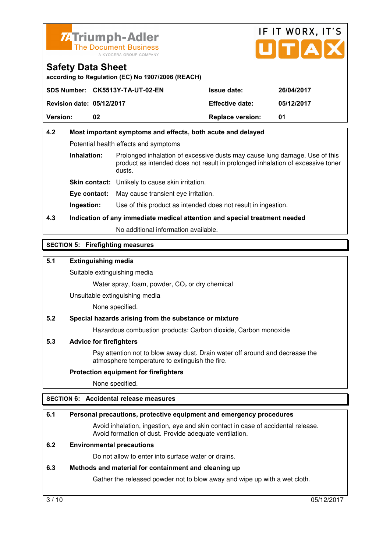



**according to Regulation (EC) No 1907/2006 (REACH)** 

|                                  | SDS Number: CK5513Y-TA-UT-02-EN | <b>Issue date:</b>      | 26/04/2017 |
|----------------------------------|---------------------------------|-------------------------|------------|
| <b>Revision date: 05/12/2017</b> |                                 | <b>Effective date:</b>  | 05/12/2017 |
| <b>Version:</b>                  | 02                              | <b>Replace version:</b> | 01         |

#### **4.2 Most important symptoms and effects, both acute and delayed**  Potential health effects and symptoms **Inhalation:** Prolonged inhalation of excessive dusts may cause lung damage. Use of this product as intended does not result in prolonged inhalation of excessive toner dusts. **Skin contact:** Unlikely to cause skin irritation. **Eye contact:** May cause transient eye irritation.

**Ingestion:** Use of this product as intended does not result in ingestion.

#### **4.3 Indication of any immediate medical attention and special treatment needed**

No additional information available.

#### **SECTION 5: Firefighting measures**

#### **5.1 Extinguishing media**

Suitable extinguishing media

Water spray, foam, powder,  $CO<sub>2</sub>$  or dry chemical

Unsuitable extinguishing media

None specified.

#### **5.2 Special hazards arising from the substance or mixture**

Hazardous combustion products: Carbon dioxide, Carbon monoxide

#### **5.3 Advice for firefighters**

 Pay attention not to blow away dust. Drain water off around and decrease the atmosphere temperature to extinguish the fire.

#### **Protection equipment for firefighters**

None specified.

#### **SECTION 6: Accidental release measures**

#### **6.1 Personal precautions, protective equipment and emergency procedures**

 Avoid inhalation, ingestion, eye and skin contact in case of accidental release. Avoid formation of dust. Provide adequate ventilation.

#### **6.2 Environmental precautions**

Do not allow to enter into surface water or drains.

#### **6.3 Methods and material for containment and cleaning up**

Gather the released powder not to blow away and wipe up with a wet cloth.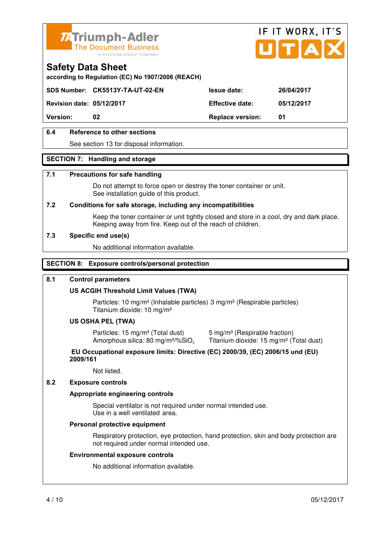



**according to Regulation (EC) No 1907/2006 (REACH)** 

**SDS Number: CK5513Y-TA-UT-02-EN Issue date: 26/04/2017** 

**Revision date: 05/12/2017 Effective date: 05/12/2017** 

**Version: 02 Replace version: 01** 

#### **6.4 Reference to other sections**

See section 13 for disposal information.

#### **SECTION 7: Handling and storage**

#### **7.1 Precautions for safe handling**

 Do not attempt to force open or destroy the toner container or unit. See installation guide of this product.

#### **7.2 Conditions for safe storage, including any incompatibilities**

Keep the toner container or unit tightly closed and store in a cool, dry and dark place. Keeping away from fire. Keep out of the reach of children.

#### **7.3 Specific end use(s)**

No additional information available.

#### **SECTION 8: Exposure controls/personal protection**

#### **8.1 Control parameters**

#### **US ACGIH Threshold Limit Values (TWA)**

Particles: 10 mg/m<sup>3</sup> (Inhalable particles) 3 mg/m<sup>3</sup> (Respirable particles) Titanium dioxide: 10 mg/m³

#### **US OSHA PEL (TWA)**

Particles: 15 mg/m<sup>3</sup> (Total dust) 5 mg/m<sup>3</sup> (Respirable fraction) Amorphous silica: 80 mg/m<sup>3</sup>/%SiO<sub>2</sub>

Titanium dioxide: 15 mg/m<sup>3</sup> (Total dust)

#### **EU Occupational exposure limits: Directive (EC) 2000/39, (EC) 2006/15 und (EU) 2009/161**

Not listed.

#### **8.2 Exposure controls**

#### **Appropriate engineering controls**

 Special ventilator is not required under normal intended use. Use in a well ventilated area.

#### **Personal protective equipment**

 Respiratory protection, eye protection, hand protection, skin and body protection are not required under normal intended use.

#### **Environmental exposure controls**

No additional information available.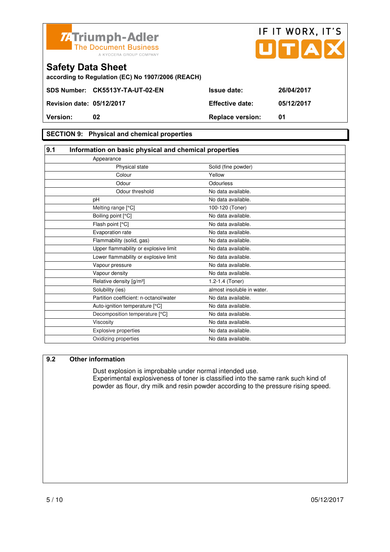

**Version: 02 Replace version: 01** 

#### **SECTION 9: Physical and chemical properties**

#### **9.1 Information on basic physical and chemical properties**

| Appearance                             |                            |
|----------------------------------------|----------------------------|
| Physical state                         | Solid (fine powder)        |
| Colour                                 | Yellow                     |
| Odour                                  | Odourless                  |
| Odour threshold                        | No data available.         |
| pH                                     | No data available.         |
| Melting range [°C]                     | 100-120 (Toner)            |
| Boiling point [°C]                     | No data available.         |
| Flash point [°C]                       | No data available.         |
| Evaporation rate                       | No data available.         |
| Flammability (solid, gas)              | No data available.         |
| Upper flammability or explosive limit  | No data available.         |
| Lower flammability or explosive limit  | No data available.         |
| Vapour pressure                        | No data available.         |
| Vapour density                         | No data available.         |
| Relative density [g/m <sup>3</sup> ]   | 1.2-1.4 (Toner)            |
| Solubility (ies)                       | almost insoluble in water. |
| Partition coefficient: n-octanol/water | No data available.         |
| Auto-ignition temperature [°C]         | No data available.         |
| Decomposition temperature [°C]         | No data available.         |
| Viscosity                              | No data available.         |
| <b>Explosive properties</b>            | No data available.         |
| Oxidizing properties                   | No data available.         |

#### **9.2 Other information**

 Dust explosion is improbable under normal intended use. Experimental explosiveness of toner is classified into the same rank such kind of powder as flour, dry milk and resin powder according to the pressure rising speed.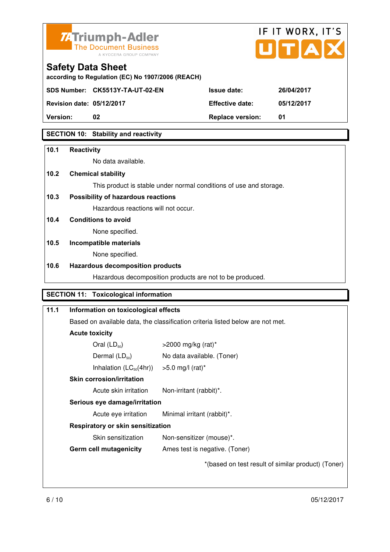



**according to Regulation (EC) No 1907/2006 (REACH)** 

**SDS Number: CK5513Y-TA-UT-02-EN Issue date: 26/04/2017** 

**Revision date: 05/12/2017 Effective date: 05/12/2017** 

**Version: 02 Replace version: 01** 

#### **SECTION 10: Stability and reactivity**

#### **10.1 Reactivity**

No data available.

#### **10.2 Chemical stability**

This product is stable under normal conditions of use and storage.

#### **10.3 Possibility of hazardous reactions**

Hazardous reactions will not occur.

#### **10.4 Conditions to avoid**

None specified.

#### **10.5 Incompatible materials**

None specified.

#### **10.6 Hazardous decomposition products**

Hazardous decomposition products are not to be produced.

#### **SECTION 11: Toxicological information**

| 11.1 | Information on toxicological effects                                           |                                                    |
|------|--------------------------------------------------------------------------------|----------------------------------------------------|
|      | Based on available data, the classification criteria listed below are not met. |                                                    |
|      | <b>Acute toxicity</b>                                                          |                                                    |
|      | Oral $(LD_{50})$                                                               | $>$ 2000 mg/kg (rat)*                              |
|      | Dermal $(LD_{50})$                                                             | No data available. (Toner)                         |
|      | Inhalation $(LC_{50}(4hr))$                                                    | $>5.0$ mg/l (rat)*                                 |
|      | <b>Skin corrosion/irritation</b>                                               |                                                    |
|      | Acute skin irritation                                                          | Non-irritant (rabbit)*.                            |
|      | Serious eye damage/irritation                                                  |                                                    |
|      | Acute eye irritation                                                           | Minimal irritant (rabbit)*.                        |
|      | Respiratory or skin sensitization                                              |                                                    |
|      | Skin sensitization                                                             | Non-sensitizer (mouse)*.                           |
|      | <b>Germ cell mutagenicity</b>                                                  | Ames test is negative. (Toner)                     |
|      |                                                                                | *(based on test result of similar product) (Toner) |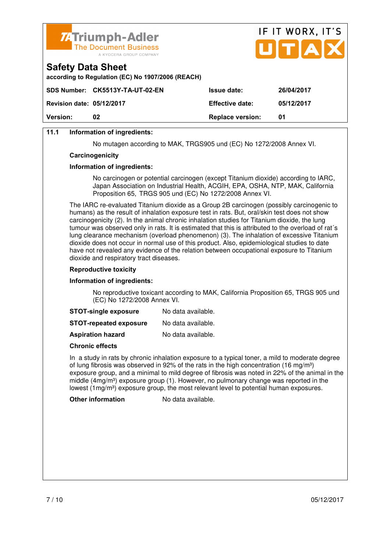

| <b>74 Triumph-Adler</b>                                                       |   | IF II WURX, II S |  |  |
|-------------------------------------------------------------------------------|---|------------------|--|--|
| The Document Business<br>A KYOCERA GROUP COMPANY                              |   | UTAX             |  |  |
| <b>Safety Data Sheet</b><br>according to Regulation (EC) No 1907/2006 (REACH) |   |                  |  |  |
|                                                                               | . |                  |  |  |

 $\mathbf{r} = \mathbf{r} + \mathbf{r}$ 

 $\rightarrow$ 

|                                  | SDS Number: CK5513Y-TA-UT-02-EN | <b>Issue date:</b>      | 26/04/2017 |
|----------------------------------|---------------------------------|-------------------------|------------|
| <b>Revision date: 05/12/2017</b> |                                 | <b>Effective date:</b>  | 05/12/2017 |
| <b>Version:</b>                  | 02                              | <b>Replace version:</b> | 01         |
|                                  |                                 |                         |            |

#### **11.1 Information of ingredients:**

No mutagen according to MAK, TRGS905 und (EC) No 1272/2008 Annex VI.

#### **Carcinogenicity**

#### **Information of ingredients:**

 No carcinogen or potential carcinogen (except Titanium dioxide) according to IARC, Japan Association on Industrial Health, ACGIH, EPA, OSHA, NTP, MAK, California Proposition 65, TRGS 905 und (EC) No 1272/2008 Annex VI.

 The IARC re-evaluated Titanium dioxide as a Group 2B carcinogen (possibly carcinogenic to humans) as the result of inhalation exposure test in rats. But, oral/skin test does not show carcinogenicity (2). In the animal chronic inhalation studies for Titanium dioxide, the lung tumour was observed only in rats. It is estimated that this is attributed to the overload of rat´s lung clearance mechanism (overload phenomenon) (3). The inhalation of excessive Titanium dioxide does not occur in normal use of this product. Also, epidemiological studies to date have not revealed any evidence of the relation between occupational exposure to Titanium dioxide and respiratory tract diseases.

#### **Reproductive toxicity**

#### **Information of ingredients:**

 No reproductive toxicant according to MAK, California Proposition 65, TRGS 905 und (EC) No 1272/2008 Annex VI.

| <b>STOT-single exposure</b> | No data available. |
|-----------------------------|--------------------|
|-----------------------------|--------------------|

**STOT-repeated exposure** No data available.

**Aspiration hazard** No data available.

#### **Chronic effects**

 In a study in rats by chronic inhalation exposure to a typical toner, a mild to moderate degree of lung fibrosis was observed in 92% of the rats in the high concentration (16 mg/m<sup>3</sup>) exposure group, and a minimal to mild degree of fibrosis was noted in 22% of the animal in the middle  $(4mg/m<sup>3</sup>)$  exposure group (1). However, no pulmonary change was reported in the lowest  $(1 \text{mq/m}^3)$  exposure group, the most relevant level to potential human exposures.

**Other information** No data available.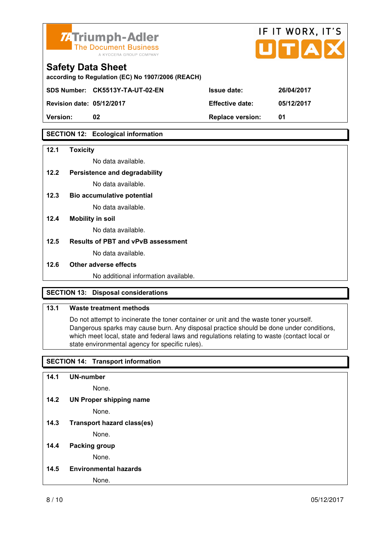

# IF IT WORX, IT'S

| according to Regulation (EC) No 1907/2006 (REACH) |                                 |                        |            |
|---------------------------------------------------|---------------------------------|------------------------|------------|
|                                                   | SDS Number: CK5513Y-TA-UT-02-EN | <b>Issue date:</b>     | 26/04/2017 |
| <b>Revision date: 05/12/2017</b>                  |                                 | <b>Effective date:</b> | 05/12/2017 |

**Version: 02 Replace version: 01** 

#### **SECTION 12: Ecological information**

#### **12.1 Toxicity**

No data available.

#### **12.2 Persistence and degradability**

No data available.

**12.3 Bio accumulative potential** 

No data available.

#### **12.4 Mobility in soil**

No data available.

#### **12.5 Results of PBT and vPvB assessment**

No data available.

#### **12.6 Other adverse effects**

No additional information available.

#### **SECTION 13: Disposal considerations**

#### **13.1 Waste treatment methods**

 Do not attempt to incinerate the toner container or unit and the waste toner yourself. Dangerous sparks may cause burn. Any disposal practice should be done under conditions, which meet local, state and federal laws and regulations relating to waste (contact local or state environmental agency for specific rules).

#### **SECTION 14: Transport information**

**14.1 UN-number** 

None.

**14.2 UN Proper shipping name** 

None.

**14.3 Transport hazard class(es)** 

None.

#### **14.4 Packing group**

None.

**14.5 Environmental hazards** 

None.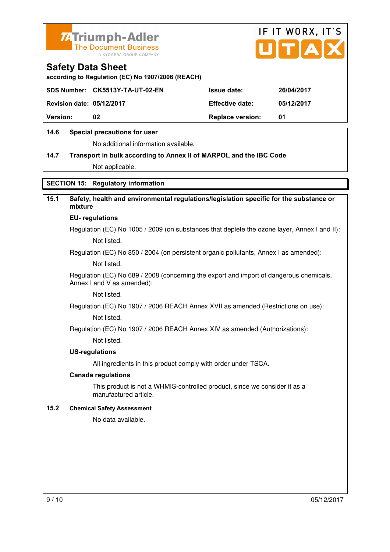



**according to Regulation (EC) No 1907/2006 (REACH)** 

|                                  | SDS Number: CK5513Y-TA-UT-02-EN | <b>Issue date:</b>      | 26/04/2017 |
|----------------------------------|---------------------------------|-------------------------|------------|
| <b>Revision date: 05/12/2017</b> |                                 | <b>Effective date:</b>  | 05/12/2017 |
| <b>Version:</b>                  | 02                              | <b>Replace version:</b> | 01         |
|                                  |                                 |                         |            |

#### **14.6 Special precautions for user**

No additional information available.

#### **14.7 Transport in bulk according to Annex II of MARPOL and the IBC Code**

Not applicable.

#### **SECTION 15: Regulatory information**

#### **15.1 Safety, health and environmental regulations/legislation specific for the substance or mixture**

#### **EU- regulations**

Regulation (EC) No 1005 / 2009 (on substances that deplete the ozone layer, Annex I and II): Not listed.

Regulation (EC) No 850 / 2004 (on persistent organic pollutants, Annex I as amended):

Not listed.

 Regulation (EC) No 689 / 2008 (concerning the export and import of dangerous chemicals, Annex I and V as amended):

Not listed.

Regulation (EC) No 1907 / 2006 REACH Annex XVII as amended (Restrictions on use):

Not listed.

Regulation (EC) No 1907 / 2006 REACH Annex XIV as amended (Authorizations):

Not listed.

#### **US-regulations**

All ingredients in this product comply with order under TSCA.

#### **Canada regulations**

 This product is not a WHMIS-controlled product, since we consider it as a manufactured article.

#### **15.2 Chemical Safety Assessment**

No data available.